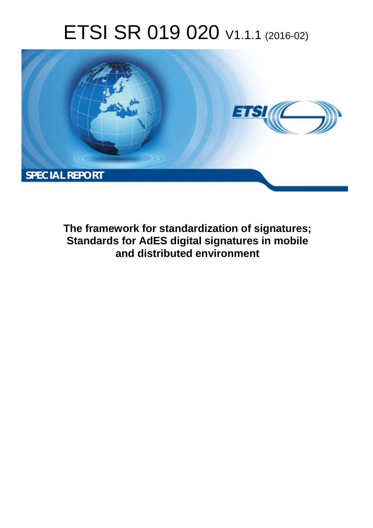# ETSI SR 019 020 V1.1.1 (2016-02)



**The framework for standardization of signatures; Standards for AdES digital signatures in mobile and distributed environment**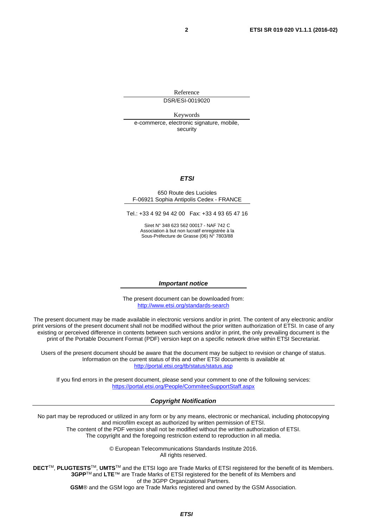Reference DSR/ESI-0019020

Keywords e-commerce, electronic signature, mobile, security

#### *ETSI*

#### 650 Route des Lucioles F-06921 Sophia Antipolis Cedex - FRANCE

Tel.: +33 4 92 94 42 00 Fax: +33 4 93 65 47 16

Siret N° 348 623 562 00017 - NAF 742 C Association à but non lucratif enregistrée à la Sous-Préfecture de Grasse (06) N° 7803/88

#### *Important notice*

The present document can be downloaded from: <http://www.etsi.org/standards-search>

The present document may be made available in electronic versions and/or in print. The content of any electronic and/or print versions of the present document shall not be modified without the prior written authorization of ETSI. In case of any existing or perceived difference in contents between such versions and/or in print, the only prevailing document is the print of the Portable Document Format (PDF) version kept on a specific network drive within ETSI Secretariat.

Users of the present document should be aware that the document may be subject to revision or change of status. Information on the current status of this and other ETSI documents is available at <http://portal.etsi.org/tb/status/status.asp>

If you find errors in the present document, please send your comment to one of the following services: <https://portal.etsi.org/People/CommiteeSupportStaff.aspx>

#### *Copyright Notification*

No part may be reproduced or utilized in any form or by any means, electronic or mechanical, including photocopying and microfilm except as authorized by written permission of ETSI.

The content of the PDF version shall not be modified without the written authorization of ETSI. The copyright and the foregoing restriction extend to reproduction in all media.

> © European Telecommunications Standards Institute 2016. All rights reserved.

**DECT**TM, **PLUGTESTS**TM, **UMTS**TM and the ETSI logo are Trade Marks of ETSI registered for the benefit of its Members. **3GPP**TM and **LTE**™ are Trade Marks of ETSI registered for the benefit of its Members and of the 3GPP Organizational Partners.

**GSM**® and the GSM logo are Trade Marks registered and owned by the GSM Association.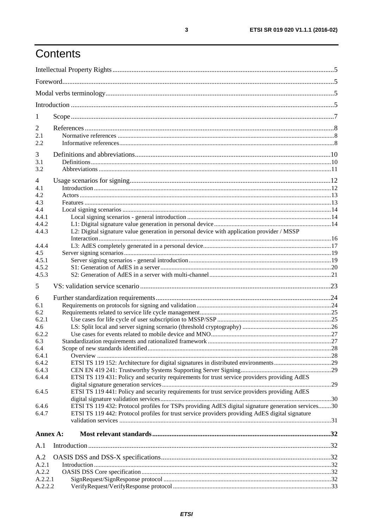# Contents

| -1               |                                                                                                    |  |
|------------------|----------------------------------------------------------------------------------------------------|--|
| 2                |                                                                                                    |  |
| 2.1              |                                                                                                    |  |
| 2.2              |                                                                                                    |  |
| 3                |                                                                                                    |  |
| 3.1              |                                                                                                    |  |
| 3.2              |                                                                                                    |  |
| 4                |                                                                                                    |  |
| 4.1              |                                                                                                    |  |
| 4.2              |                                                                                                    |  |
| 4.3              |                                                                                                    |  |
| 4.4              |                                                                                                    |  |
| 4.4.1            |                                                                                                    |  |
| 4.4.2            |                                                                                                    |  |
| 4.4.3            | L2: Digital signature value generation in personal device with application provider / MSSP         |  |
|                  |                                                                                                    |  |
| 4.4.4<br>4.5     |                                                                                                    |  |
| 4.5.1            |                                                                                                    |  |
| 4.5.2            |                                                                                                    |  |
| 4.5.3            |                                                                                                    |  |
| 5                |                                                                                                    |  |
| 6                |                                                                                                    |  |
| 6.1              |                                                                                                    |  |
| 6.2              |                                                                                                    |  |
| 6.2.1            |                                                                                                    |  |
| 4.6              |                                                                                                    |  |
| 6.2.2            |                                                                                                    |  |
| 6.3              |                                                                                                    |  |
| 6.4              |                                                                                                    |  |
| 6.4.1            |                                                                                                    |  |
| 6.4.2            |                                                                                                    |  |
| 6.4.3            |                                                                                                    |  |
| 6.4.4            | ETSI TS 119 431: Policy and security requirements for trust service providers providing AdES       |  |
|                  | ETSI TS 119 441: Policy and security requirements for trust service providers providing AdES       |  |
| 6.4.5            |                                                                                                    |  |
| 6.4.6            | ETSI TS 119 432: Protocol profiles for TSPs providing AdES digital signature generation services30 |  |
| 6.4.7            | ETSI TS 119 442: Protocol profiles for trust service providers providing AdES digital signature    |  |
|                  |                                                                                                    |  |
| Annex A:         |                                                                                                    |  |
| A.1              |                                                                                                    |  |
|                  |                                                                                                    |  |
| A.2              |                                                                                                    |  |
| A.2.1            |                                                                                                    |  |
| A.2.2<br>A.2.2.1 |                                                                                                    |  |
| A.2.2.2          |                                                                                                    |  |
|                  |                                                                                                    |  |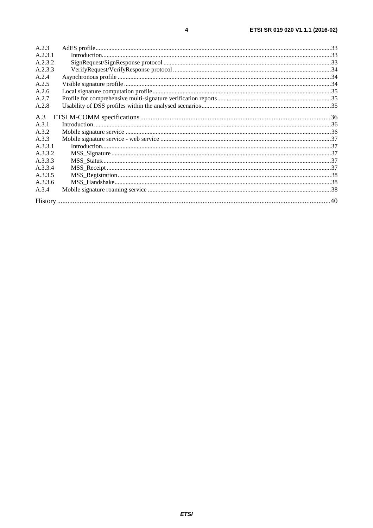| A.2.3   |  |
|---------|--|
| A.2.3.1 |  |
| A.2.3.2 |  |
| A.2.3.3 |  |
| A.2.4   |  |
| A.2.5   |  |
| A.2.6   |  |
| A.2.7   |  |
| A.2.8   |  |
| A.3     |  |
| A.3.1   |  |
| A.3.2   |  |
| A.3.3   |  |
| A.3.3.1 |  |
| A.3.3.2 |  |
| A.3.3.3 |  |
| A.3.3.4 |  |
| A.3.3.5 |  |
| A.3.3.6 |  |
| A.3.4   |  |
|         |  |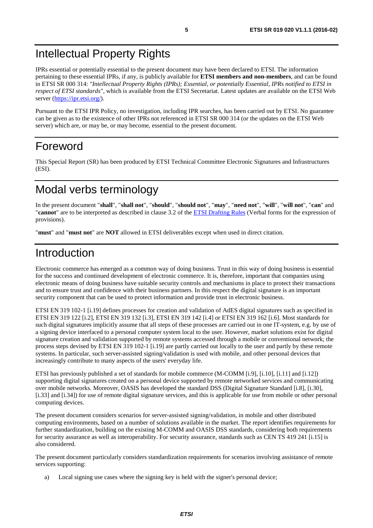# <span id="page-4-0"></span>Intellectual Property Rights

IPRs essential or potentially essential to the present document may have been declared to ETSI. The information pertaining to these essential IPRs, if any, is publicly available for **ETSI members and non-members**, and can be found in ETSI SR 000 314: *"Intellectual Property Rights (IPRs); Essential, or potentially Essential, IPRs notified to ETSI in respect of ETSI standards"*, which is available from the ETSI Secretariat. Latest updates are available on the ETSI Web server (<https://ipr.etsi.org/>).

Pursuant to the ETSI IPR Policy, no investigation, including IPR searches, has been carried out by ETSI. No guarantee can be given as to the existence of other IPRs not referenced in ETSI SR 000 314 (or the updates on the ETSI Web server) which are, or may be, or may become, essential to the present document.

# Foreword

This Special Report (SR) has been produced by ETSI Technical Committee Electronic Signatures and Infrastructures (ESI).

# Modal verbs terminology

In the present document "**shall**", "**shall not**", "**should**", "**should not**", "**may**", "**need not**", "**will**", "**will not**", "**can**" and "**cannot**" are to be interpreted as described in clause 3.2 of the [ETSI Drafting Rules](http://portal.etsi.org/Help/editHelp!/Howtostart/ETSIDraftingRules.aspx) (Verbal forms for the expression of provisions).

"**must**" and "**must not**" are **NOT** allowed in ETSI deliverables except when used in direct citation.

# Introduction

Electronic commerce has emerged as a common way of doing business. Trust in this way of doing business is essential for the success and continued development of electronic commerce. It is, therefore, important that companies using electronic means of doing business have suitable security controls and mechanisms in place to protect their transactions and to ensure trust and confidence with their business partners. In this respect the digital signature is an important security component that can be used to protect information and provide trust in electronic business.

ETSI EN 319 102-1 [[i.19\]](#page-8-0) defines processes for creation and validation of AdES digital signatures such as specified in ETSI EN 319 122 [\[i.2\]](#page-7-0), ETSI EN 319 132 [[i.3](#page-7-0)], ETSI EN 319 142 [[i.4\]](#page-7-0) or ETSI EN 319 162 [[i.6\]](#page-7-0). Most standards for such digital signatures implicitly assume that all steps of these processes are carried out in one IT-system, e.g. by use of a signing device interfaced to a personal computer system local to the user. However, market solutions exist for digital signature creation and validation supported by remote systems accessed through a mobile or conventional network; the process steps devised by ETSI EN 319 102-1 [\[i.19\]](#page-8-0) are partly carried out locally to the user and partly by these remote systems. In particular, such server-assisted signing/validation is used with mobile, and other personal devices that increasingly contribute to many aspects of the users' everyday life.

ETSI has previously published a set of standards for mobile commerce (M-COMM [\[i.9\]](#page-8-0), [\[i.10\]](#page-8-0), [\[i.11\]](#page-8-0) and [\[i.12\]](#page-8-0)) supporting digital signatures created on a personal device supported by remote networked services and communicating over mobile networks. Moreover, OASIS has developed the standard DSS (Digital Signature Standard [[i.8](#page-7-0)], [[i.30](#page-8-0)], [[i.33](#page-8-0)] and [\[i.34\]](#page-9-0)) for use of remote digital signature services, and this is applicable for use from mobile or other personal computing devices.

The present document considers scenarios for server-assisted signing/validation, in mobile and other distributed computing environments, based on a number of solutions available in the market. The report identifies requirements for further standardization, building on the existing M-COMM and OASIS DSS standards, considering both requirements for security assurance as well as interoperability. For security assurance, standards such as CEN TS 419 241 [\[i.15](#page-8-0)] is also considered.

The present document particularly considers standardization requirements for scenarios involving assistance of remote services supporting:

a) Local signing use cases where the signing key is held with the signer's personal device;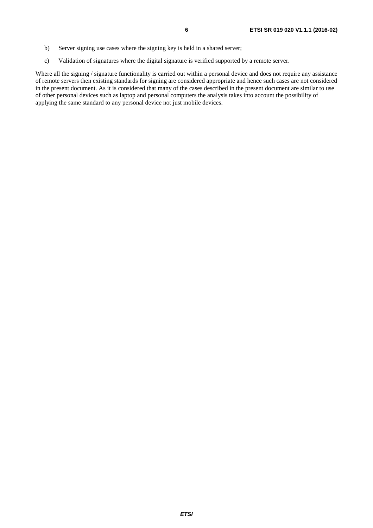- b) Server signing use cases where the signing key is held in a shared server;
- c) Validation of signatures where the digital signature is verified supported by a remote server.

Where all the signing / signature functionality is carried out within a personal device and does not require any assistance of remote servers then existing standards for signing are considered appropriate and hence such cases are not considered in the present document. As it is considered that many of the cases described in the present document are similar to use of other personal devices such as laptop and personal computers the analysis takes into account the possibility of applying the same standard to any personal device not just mobile devices.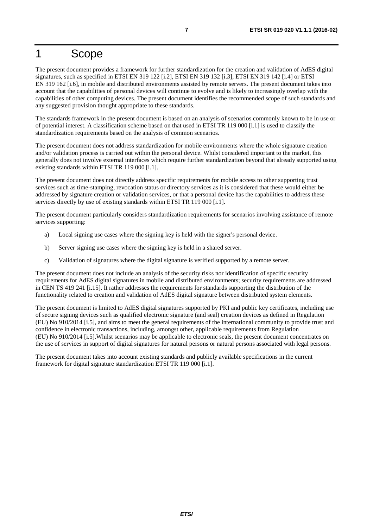# <span id="page-6-0"></span>1 Scope

The present document provides a framework for further standardization for the creation and validation of AdES digital signatures, such as specified in ETSI EN 319 122 [i.2], ETSI EN 319 132 [i.3], ETSI EN 319 142 [i.4] or ETSI EN 319 162 [i.6], in mobile and distributed environments assisted by remote servers. The present document takes into account that the capabilities of personal devices will continue to evolve and is likely to increasingly overlap with the capabilities of other computing devices. The present document identifies the recommended scope of such standards and any suggested provision thought appropriate to these standards.

The standards framework in the present document is based on an analysis of scenarios commonly known to be in use or of potential interest. A classification scheme based on that used in ETSI TR 119 000 [\[i.1\]](#page-7-0) is used to classify the standardization requirements based on the analysis of common scenarios.

The present document does not address standardization for mobile environments where the whole signature creation and/or validation process is carried out within the personal device. Whilst considered important to the market, this generally does not involve external interfaces which require further standardization beyond that already supported using existing standards within ETSI TR 119 000 [\[i.1](#page-7-0)].

The present document does not directly address specific requirements for mobile access to other supporting trust services such as time-stamping, revocation status or directory services as it is considered that these would either be addressed by signature creation or validation services, or that a personal device has the capabilities to address these services directly by use of existing standards within ETSI TR 119 000 [\[i.1](#page-7-0)].

The present document particularly considers standardization requirements for scenarios involving assistance of remote services supporting:

- a) Local signing use cases where the signing key is held with the signer's personal device.
- b) Server signing use cases where the signing key is held in a shared server.
- c) Validation of signatures where the digital signature is verified supported by a remote server.

The present document does not include an analysis of the security risks nor identification of specific security requirements for AdES digital signatures in mobile and distributed environments; security requirements are addressed in CEN TS 419 241 [[i.15](#page-8-0)]. It rather addresses the requirements for standards supporting the distribution of the functionality related to creation and validation of AdES digital signature between distributed system elements.

The present document is limited to AdES digital signatures supported by PKI and public key certificates, including use of secure signing devices such as qualified electronic signature (and seal) creation devices as defined in Regulation (EU) No 910/2014 [\[i.5\]](#page-7-0), and aims to meet the general requirements of the international community to provide trust and confidence in electronic transactions, including, amongst other, applicable requirements from Regulation (EU) No 910/2014 [\[i.5\]](#page-7-0).Whilst scenarios may be applicable to electronic seals, the present document concentrates on the use of services in support of digital signatures for natural persons or natural persons associated with legal persons.

The present document takes into account existing standards and publicly available specifications in the current framework for digital signature standardization ETSI TR 119 000 [\[i.1](#page-7-0)].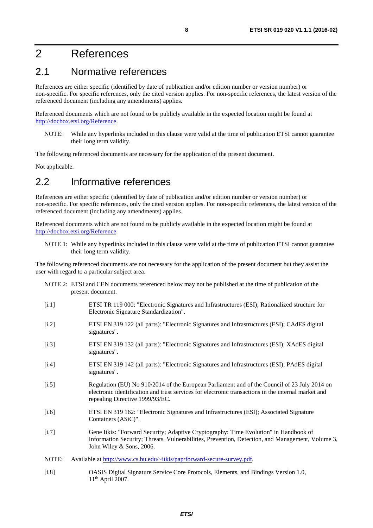# <span id="page-7-0"></span>2 References

# 2.1 Normative references

References are either specific (identified by date of publication and/or edition number or version number) or non-specific. For specific references, only the cited version applies. For non-specific references, the latest version of the referenced document (including any amendments) applies.

Referenced documents which are not found to be publicly available in the expected location might be found at <http://docbox.etsi.org/Reference>.

NOTE: While any hyperlinks included in this clause were valid at the time of publication ETSI cannot guarantee their long term validity.

The following referenced documents are necessary for the application of the present document.

Not applicable.

# 2.2 Informative references

References are either specific (identified by date of publication and/or edition number or version number) or non-specific. For specific references, only the cited version applies. For non-specific references, the latest version of the referenced document (including any amendments) applies.

Referenced documents which are not found to be publicly available in the expected location might be found at <http://docbox.etsi.org/Reference>.

NOTE 1: While any hyperlinks included in this clause were valid at the time of publication ETSI cannot guarantee their long term validity.

The following referenced documents are not necessary for the application of the present document but they assist the user with regard to a particular subject area.

- NOTE 2: ETSI and CEN documents referenced below may not be published at the time of publication of the present document.
- [i.1] ETSI TR 119 000: "Electronic Signatures and Infrastructures (ESI); Rationalized structure for Electronic Signature Standardization".
- [i.2] ETSI EN 319 122 (all parts): "Electronic Signatures and Infrastructures (ESI); CAdES digital signatures".
- [i.3] ETSI EN 319 132 (all parts): "Electronic Signatures and Infrastructures (ESI); XAdES digital signatures".
- [i.4] ETSI EN 319 142 (all parts): "Electronic Signatures and Infrastructures (ESI); PAdES digital signatures".
- [i.5] Regulation (EU) No 910/2014 of the European Parliament and of the Council of 23 July 2014 on electronic identification and trust services for electronic transactions in the internal market and repealing Directive 1999/93/EC.
- [i.6] ETSI EN 319 162: "Electronic Signatures and Infrastructures (ESI); Associated Signature Containers (ASiC)".
- [i.7] Gene Itkis: "Forward Security; Adaptive Cryptography: Time Evolution" in Handbook of Information Security; Threats, Vulnerabilities, Prevention, Detection, and Management, Volume 3, John Wiley & Sons, 2006.
- NOTE: Available at [http://www.cs.bu.edu/~itkis/pap/forward-secure-survey.pdf.](http://www.cs.bu.edu/~itkis/pap/forward-secure-survey.pdf)
- [i.8] OASIS Digital Signature Service Core Protocols, Elements, and Bindings Version 1.0, 11th April 2007.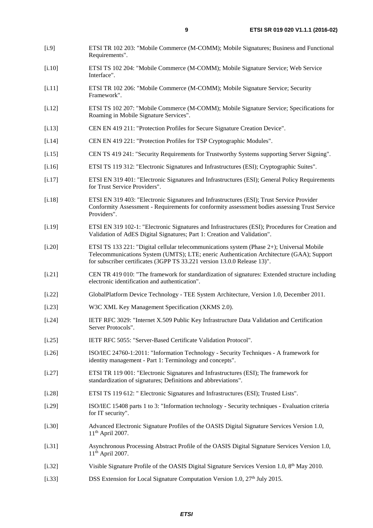- <span id="page-8-0"></span>[i.9] ETSI TR 102 203: "Mobile Commerce (M-COMM); Mobile Signatures; Business and Functional Requirements".
- [i.10] ETSI TS 102 204: "Mobile Commerce (M-COMM); Mobile Signature Service; Web Service Interface".
- [i.11] ETSI TR 102 206: "Mobile Commerce (M-COMM); Mobile Signature Service; Security Framework".
- [i.12] ETSI TS 102 207: "Mobile Commerce (M-COMM); Mobile Signature Service; Specifications for Roaming in Mobile Signature Services".
- [i.13] CEN EN 419 211: "Protection Profiles for Secure Signature Creation Device".
- [i.14] CEN EN 419 221: "Protection Profiles for TSP Cryptographic Modules".
- [i.15] CEN TS 419 241: "Security Requirements for Trustworthy Systems supporting Server Signing".
- [i.16] ETSI TS 119 312: "Electronic Signatures and Infrastructures (ESI); Cryptographic Suites".
- [i.17] ETSI EN 319 401: "Electronic Signatures and Infrastructures (ESI); General Policy Requirements for Trust Service Providers".
- [i.18] ETSI EN 319 403: "Electronic Signatures and Infrastructures (ESI); Trust Service Provider Conformity Assessment - Requirements for conformity assessment bodies assessing Trust Service Providers".
- [i.19] ETSI EN 319 102-1: "Electronic Signatures and Infrastructures (ESI); Procedures for Creation and Validation of AdES Digital Signatures; Part 1: Creation and Validation".
- [i.20] ETSI TS 133 221: "Digital cellular telecommunications system (Phase 2+); Universal Mobile Telecommunications System (UMTS); LTE; eneric Authentication Architecture (GAA); Support for subscriber certificates (3GPP TS 33.221 version 13.0.0 Release 13)".
- [i.21] CEN TR 419 010: "The framework for standardization of signatures: Extended structure including electronic identification and authentication".
- [i.22] GlobalPlatform Device Technology TEE System Architecture, Version 1.0, December 2011.
- [i.23] W3C XML Key Management Specification (XKMS 2.0).
- [i.24] IETF RFC 3029: "Internet X.509 Public Key Infrastructure Data Validation and Certification Server Protocols".
- [i.25] IETF RFC 5055: "Server-Based Certificate Validation Protocol".
- [i.26] ISO/IEC 24760-1:2011: "Information Technology Security Techniques A framework for identity management - Part 1: Terminology and concepts".
- [i.27] ETSI TR 119 001: "Electronic Signatures and Infrastructures (ESI); The framework for standardization of signatures; Definitions and abbreviations".
- [i.28] ETSI TS 119 612: " Electronic Signatures and Infrastructures (ESI); Trusted Lists".
- [i.29] ISO/IEC 15408 parts 1 to 3: "Information technology Security techniques Evaluation criteria for IT security".
- [i.30] Advanced Electronic Signature Profiles of the OASIS Digital Signature Services Version 1.0, 11th April 2007.
- [i.31] Asynchronous Processing Abstract Profile of the OASIS Digital Signature Services Version 1.0, 11th April 2007.
- [i.32] Visible Signature Profile of the OASIS Digital Signature Services Version 1.0, 8th May 2010.
- [i.33] DSS Extension for Local Signature Computation Version 1.0, 27th July 2015.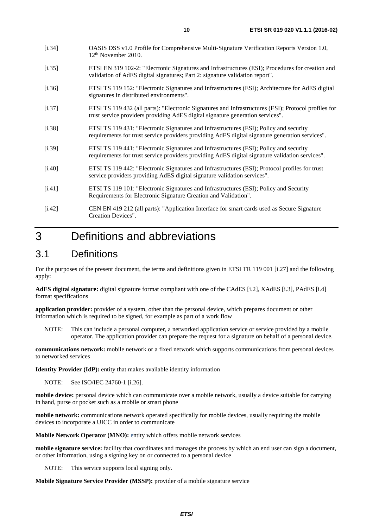- <span id="page-9-0"></span>[i.35] ETSI EN 319 102-2: "Elecrtonic Signatures and Infrastructures (ESI); Procedures for creation and validation of AdES digital signatures; Part 2: signature validation report".
- [i.36] ETSI TS 119 152: "Electronic Signatures and Infrastructures (ESI); Architecture for AdES digital signatures in distributed environments".
- [i.37] ETSI TS 119 432 (all parts): "Electronic Signatures and Infrastructures (ESI); Protocol profiles for trust service providers providing AdES digital signature generation services".
- [i.38] ETSI TS 119 431: "Electronic Signatures and Infrastructures (ESI); Policy and security requirements for trust service providers providing AdES digital signature generation services".
- [i.39] ETSI TS 119 441: "Electronic Signatures and Infrastructures (ESI); Policy and security requirements for trust service providers providing AdES digital signature validation services".
- [i.40] ETSI TS 119 442: "Electronic Signatures and Infrastructures (ESI); Protocol profiles for trust service providers providing AdES digital signature validation services".
- [i.41] ETSI TS 119 101: "Electronic Signatures and Infrastructures (ESI); Policy and Security Requirements for Electronic Signature Creation and Validation".
- [i.42] CEN EN 419 212 (all parts): "Application Interface for smart cards used as Secure Signature Creation Devices".

# 3 Definitions and abbreviations

# 3.1 Definitions

For the purposes of the present document, the terms and definitions given in ETSI TR 119 001 [\[i.27](#page-8-0)] and the following apply:

**AdES digital signature:** digital signature format compliant with one of the CAdES [[i.2](#page-7-0)], XAdES [\[i.3](#page-7-0)], PAdES [\[i.4](#page-7-0)] format specifications

**application provider:** provider of a system, other than the personal device, which prepares document or other information which is required to be signed, for example as part of a work flow

NOTE: This can include a personal computer, a networked application service or service provided by a mobile operator. The application provider can prepare the request for a signature on behalf of a personal device.

**communications network:** mobile network or a fixed network which supports communications from personal devices to networked services

**Identity Provider (IdP):** entity that makes available identity information

NOTE: See ISO/IEC 24760-1 [\[i.26](#page-8-0)].

**mobile device:** personal device which can communicate over a mobile network, usually a device suitable for carrying in hand, purse or pocket such as a mobile or smart phone

**mobile network:** communications network operated specifically for mobile devices, usually requiring the mobile devices to incorporate a UICC in order to communicate

**Mobile Network Operator (MNO):** entity which offers mobile network services

**mobile signature service:** facility that coordinates and manages the process by which an end user can sign a document, or other information, using a signing key on or connected to a personal device

NOTE: This service supports local signing only.

**Mobile Signature Service Provider (MSSP):** provider of a mobile signature service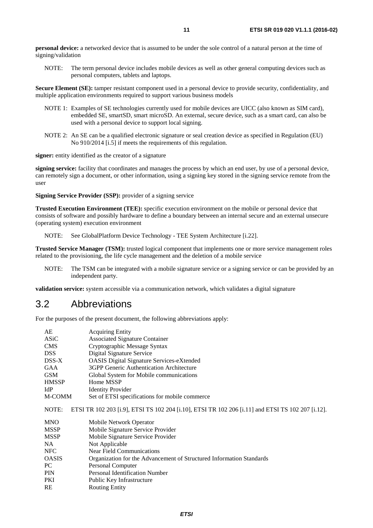<span id="page-10-0"></span>**personal device:** a networked device that is assumed to be under the sole control of a natural person at the time of signing/validation

NOTE: The term personal device includes mobile devices as well as other general computing devices such as personal computers, tablets and laptops.

**Secure Element (SE):** tamper resistant component used in a personal device to provide security, confidentiality, and multiple application environments required to support various business models

- NOTE 1: Examples of SE technologies currently used for mobile devices are UICC (also known as SIM card), embedded SE, smartSD, smart microSD. An external, secure device, such as a smart card, can also be used with a personal device to support local signing.
- NOTE 2: An SE can be a qualified electronic signature or seal creation device as specified in Regulation (EU) No 910/2014 [[i.5](#page-7-0)] if meets the requirements of this regulation.

**signer:** entity identified as the creator of a signature

**signing service:** facility that coordinates and manages the process by which an end user, by use of a personal device, can remotely sign a document, or other information, using a signing key stored in the signing service remote from the user

**Signing Service Provider (SSP):** provider of a signing service

**Trusted Execution Environment (TEE):** specific execution environment on the mobile or personal device that consists of software and possibly hardware to define a boundary between an internal secure and an external unsecure (operating system) execution environment

NOTE: See GlobalPlatform Device Technology - TEE System Architecture [i.22].

**Trusted Service Manager (TSM):** trusted logical component that implements one or more service management roles related to the provisioning, the life cycle management and the deletion of a mobile service

NOTE: The TSM can be integrated with a mobile signature service or a signing service or can be provided by an independent party.

**validation service:** system accessible via a communication network, which validates a digital signature

### 3.2 Abbreviations

RE Routing Entity

For the purposes of the present document, the following abbreviations apply:

| AE           | <b>Acquiring Entity</b>                                                                           |
|--------------|---------------------------------------------------------------------------------------------------|
| ASiC         | <b>Associated Signature Container</b>                                                             |
| <b>CMS</b>   | Cryptographic Message Syntax                                                                      |
| <b>DSS</b>   | Digital Signature Service                                                                         |
| DSS-X        | <b>OASIS</b> Digital Signature Services-eXtended                                                  |
| <b>GAA</b>   | 3GPP Generic Authentication Architecture                                                          |
| <b>GSM</b>   | Global System for Mobile communications                                                           |
| <b>HMSSP</b> | Home MSSP                                                                                         |
| IdP          | <b>Identity Provider</b>                                                                          |
| M-COMM       | Set of ETSI specifications for mobile commerce.                                                   |
| NOTE:        | ETSI TR 102 203 [i.9], ETSI TS 102 204 [i.10], ETSI TR 102 206 [i.11] and ETSI TS 102 207 [i.12]. |
| <b>MNO</b>   | Mobile Network Operator                                                                           |
| <b>MSSP</b>  | Mobile Signature Service Provider                                                                 |
| <b>MSSP</b>  | Mobile Signature Service Provider                                                                 |
| NA.          | Not Applicable                                                                                    |
| <b>NFC</b>   | Near Field Communications                                                                         |
| <b>OASIS</b> | Organization for the Advancement of Structured Information Standards                              |
| PC           | Personal Computer                                                                                 |
| <b>PIN</b>   | <b>Personal Identification Number</b>                                                             |
| <b>PKI</b>   | Public Key Infrastructure                                                                         |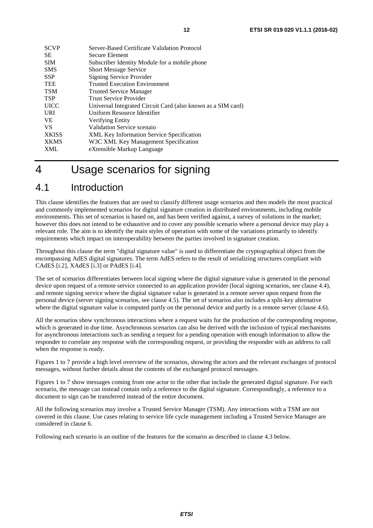<span id="page-11-0"></span>

| <b>SCVP</b>  | Server-Based Certificate Validation Protocol                 |
|--------------|--------------------------------------------------------------|
| <b>SE</b>    | Secure Element                                               |
| <b>SIM</b>   | Subscriber Identity Module for a mobile phone                |
| <b>SMS</b>   | <b>Short Message Service</b>                                 |
| <b>SSP</b>   | <b>Signing Service Provider</b>                              |
| <b>TEE</b>   | <b>Trusted Execution Environment</b>                         |
| <b>TSM</b>   | <b>Trusted Service Manager</b>                               |
| <b>TSP</b>   | <b>Trust Service Provider</b>                                |
| <b>UICC</b>  | Universal Integrated Circuit Card (also known as a SIM card) |
| URI          | Uniform Resource Identifier                                  |
| <b>VE</b>    | Verifying Entity                                             |
| <b>VS</b>    | Validation Service scenaio                                   |
| <b>XKISS</b> | <b>XML Key Information Service Specification</b>             |
| <b>XKMS</b>  | W3C XML Key Management Specification                         |
| <b>XML</b>   | eXtensible Markup Language                                   |
|              |                                                              |

# 4 Usage scenarios for signing

# 4.1 Introduction

This clause identifies the features that are used to classify different usage scenarios and then models the most practical and commonly implemented scenarios for digital signature creation in distributed environments, including mobile environments. This set of scenarios is based on, and has been verified against, a survey of solutions in the market; however this does not intend to be exhaustive and to cover any possible scenario where a personal device may play a relevant role. The aim is to identify the main styles of operation with some of the variations primarily to identify requirements which impact on interoperability between the parties involved in signature creation.

Throughout this clause the term "digital signature value" is used to differentiate the cryptographical object from the encompassing AdES digital signatures. The term AdES refers to the result of serializing structures compliant with CAdES [[i.2](#page-7-0)], XAdES [[i.3\]](#page-7-0) or PAdES [[i.4](#page-7-0)].

The set of scenarios differentiates between local signing where the digital signature value is generated in the personal device upon request of a remote service connected to an application provider (local signing scenarios, see clause 4.4), and remote signing service where the digital signature value is generated in a remote server upon request from the personal device (server signing scenarios, see clause 4.5). The set of scenarios also includes a split-key alternative where the digital signature value is computed partly on the personal device and partly in a remote server (clause 4.6).

All the scenarios show synchronous interactions where a request waits for the production of the corresponding response, which is generated in due time. Asynchronous scenarios can also be derived with the inclusion of typical mechanisms for asynchronous interactions such as sending a request for a pending operation with enough information to allow the responder to correlate any response with the corresponding request, or providing the responder with an address to call when the response is ready.

Figures 1 to 7 provide a high level overview of the scenarios, showing the actors and the relevant exchanges of protocol messages, without further details about the contents of the exchanged protocol messages.

Figures 1 to 7 show messages coming from one actor to the other that include the generated digital signature. For each scenario, the message can instead contain only a reference to the digital signature. Correspondingly, a reference to a document to sign can be transferred instead of the entire document.

All the following scenarios may involve a Trusted Service Manager (TSM). Any interactions with a TSM are not covered in this clause. Use cases relating to service life cycle management including a Trusted Service Manager are considered in clause 6.

Following each scenario is an outline of the features for the scenario as described in clause 4.3 below.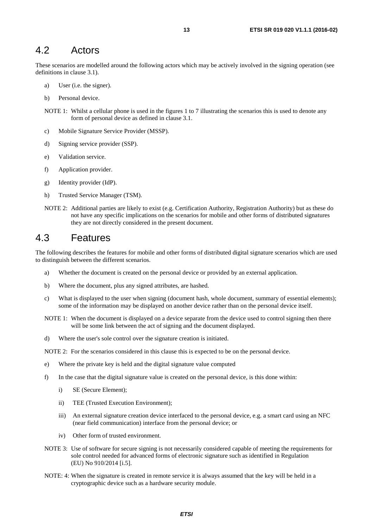### <span id="page-12-0"></span>4.2 Actors

These scenarios are modelled around the following actors which may be actively involved in the signing operation (see definitions in clause 3.1).

- a) User (i.e. the signer).
- b) Personal device.
- NOTE 1: Whilst a cellular phone is used in the figures 1 to 7 illustrating the scenarios this is used to denote any form of personal device as defined in clause 3.1.
- c) Mobile Signature Service Provider (MSSP).
- d) Signing service provider (SSP).
- e) Validation service.
- f) Application provider.
- g) Identity provider (IdP).
- h) Trusted Service Manager (TSM).
- NOTE 2: Additional parties are likely to exist (e.g. Certification Authority, Registration Authority) but as these do not have any specific implications on the scenarios for mobile and other forms of distributed signatures they are not directly considered in the present document.

### 4.3 Features

The following describes the features for mobile and other forms of distributed digital signature scenarios which are used to distinguish between the different scenarios.

- a) Whether the document is created on the personal device or provided by an external application.
- b) Where the document, plus any signed attributes, are hashed.
- c) What is displayed to the user when signing (document hash, whole document, summary of essential elements); some of the information may be displayed on another device rather than on the personal device itself.
- NOTE 1: When the document is displayed on a device separate from the device used to control signing then there will be some link between the act of signing and the document displayed.
- d) Where the user's sole control over the signature creation is initiated.

NOTE 2: For the scenarios considered in this clause this is expected to be on the personal device.

- e) Where the private key is held and the digital signature value computed
- f) In the case that the digital signature value is created on the personal device, is this done within:
	- i) SE (Secure Element);
	- ii) TEE (Trusted Execution Environment);
	- iii) An external signature creation device interfaced to the personal device, e.g. a smart card using an NFC (near field communication) interface from the personal device; or
	- iv) Other form of trusted environment.
- NOTE 3: Use of software for secure signing is not necessarily considered capable of meeting the requirements for sole control needed for advanced forms of electronic signature such as identified in Regulation (EU) No 910/2014 [\[i.5](#page-7-0)].
- NOTE: 4: When the signature is created in remote service it is always assumed that the key will be held in a cryptographic device such as a hardware security module.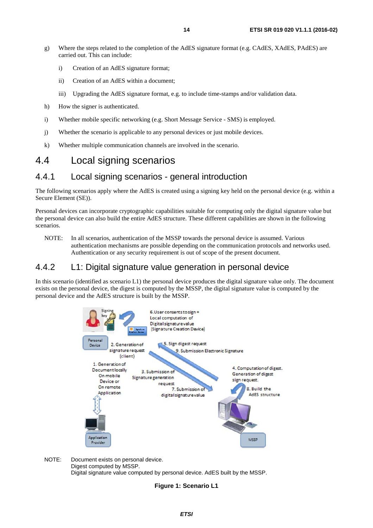- <span id="page-13-0"></span>g) Where the steps related to the completion of the AdES signature format (e.g. CAdES, XAdES, PAdES) are carried out. This can include:
	- i) Creation of an AdES signature format;
	- ii) Creation of an AdES within a document;
	- iii) Upgrading the AdES signature format, e.g. to include time-stamps and/or validation data.
- h) How the signer is authenticated.
- i) Whether mobile specific networking (e.g. Short Message Service SMS) is employed.
- j) Whether the scenario is applicable to any personal devices or just mobile devices.
- k) Whether multiple communication channels are involved in the scenario.

### 4.4 Local signing scenarios

### 4.4.1 Local signing scenarios - general introduction

The following scenarios apply where the AdES is created using a signing key held on the personal device (e.g. within a Secure Element (SE)).

Personal devices can incorporate cryptographic capabilities suitable for computing only the digital signature value but the personal device can also build the entire AdES structure. These different capabilities are shown in the following scenarios.

NOTE: In all scenarios, authentication of the MSSP towards the personal device is assumed. Various authentication mechanisms are possible depending on the communication protocols and networks used. Authentication or any security requirement is out of scope of the present document.

### 4.4.2 L1: Digital signature value generation in personal device

In this scenario (identified as scenario L1) the personal device produces the digital signature value only. The document exists on the personal device, the digest is computed by the MSSP, the digital signature value is computed by the personal device and the AdES structure is built by the MSSP.



NOTE: Document exists on personal device. Digest computed by MSSP. Digital signature value computed by personal device. AdES built by the MSSP.

#### **Figure 1: Scenario L1**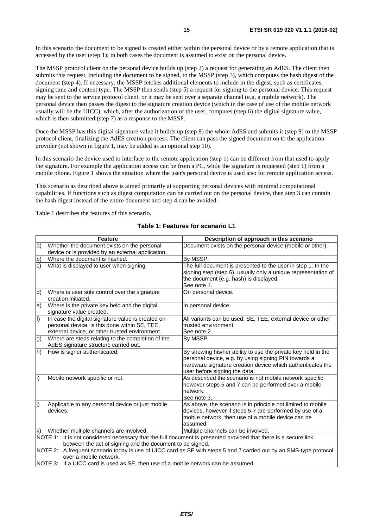In this scenario the document to be signed is created either within the personal device or by a remote application that is accessed by the user (step 1); in both cases the document is assumed to exist on the personal device.

The MSSP protocol client on the personal device builds up (step 2) a request for generating an AdES. The client then submits this request, including the document to be signed, to the MSSP (step 3), which computes the hash digest of the document (step 4). If necessary, the MSSP fetches additional elements to include in the digest, such as certificates, signing time and content type. The MSSP then sends (step 5) a request for signing to the personal device. This request may be sent to the service protocol client, or it may be sent over a separate channel (e.g. a mobile network). The personal device then passes the digest to the signature creation device (which in the case of use of the mobile network usually will be the UICC), which, after the authorization of the user, computes (step 6) the digital signature value, which is then submitted (step 7) as a response to the MSSP.

Once the MSSP has this digital signature value it builds up (step 8) the whole AdES and submits it (step 9) to the MSSP protocol client, finalizing the AdES creation process. The client can pass the signed document on to the application provider (not shown in figure 1, may be added as an optional step 10).

In this scenario the device used to interface to the remote application (step 1) can be different from that used to apply the signature. For example the application access can be from a PC, while the signature is requested (step 1) from a mobile phone. Figure 1 shows the situation where the user's personal device is used also for remote application access.

This scenario as described above is aimed primarily at supporting personal devices with minimal computational capabilities. If functions such as digest computation can be carried out on the personal device, then step 3 can contain the hash digest instead of the entire document and step 4 can be avoided.

Table 1 describes the features of this scenario.

#### **Table 1: Features for scenario L1**

|              | <b>Feature</b>                                                                                                                                                                                                                                                                                     | Description of approach in this scenario                                                                                                                                                                             |  |
|--------------|----------------------------------------------------------------------------------------------------------------------------------------------------------------------------------------------------------------------------------------------------------------------------------------------------|----------------------------------------------------------------------------------------------------------------------------------------------------------------------------------------------------------------------|--|
| la)          | Whether the document exists on the personal                                                                                                                                                                                                                                                        | Document exists on the personal device (mobile or other).                                                                                                                                                            |  |
|              | device or is provided by an external application.                                                                                                                                                                                                                                                  |                                                                                                                                                                                                                      |  |
| $\mathsf{b}$ | Where the document is hashed.                                                                                                                                                                                                                                                                      | By MSSP.                                                                                                                                                                                                             |  |
| $\mathsf{c}$ | What is displayed to user when signing.                                                                                                                                                                                                                                                            | The full document is presented to the user in step 1. In the<br>signing step (step 6), usually only a unique representation of<br>the document (e.g. hash) is displayed.<br>See note 1.                              |  |
| d)           | Where is user sole control over the signature<br>creation initiated.                                                                                                                                                                                                                               | On personal device.                                                                                                                                                                                                  |  |
| e)           | Where is the private key held and the digital<br>signature value created.                                                                                                                                                                                                                          | In personal device.                                                                                                                                                                                                  |  |
| f)           | In case the digital signature value is created on<br>personal device, is this done within SE, TEE,<br>external device, or other trusted environment.                                                                                                                                               | All variants can be used: SE, TEE, external device or other<br>trusted environment.<br>See note 2.                                                                                                                   |  |
| g)           | Where are steps relating to the completion of the<br>AdES signature structure carried out.                                                                                                                                                                                                         | By MSSP.                                                                                                                                                                                                             |  |
| h)           | How is signer authenticated.                                                                                                                                                                                                                                                                       | By showing his/her ability to use the private key held in the<br>personal device, e.g. by using signing PIN towards a<br>hardware signature creation device which authenticates the<br>user before signing the data. |  |
| li)          | Mobile network specific or not.                                                                                                                                                                                                                                                                    | As described the scenario is not mobile network specific,<br>however steps 5 and 7 can be performed over a mobile<br>network.<br>See note 3.                                                                         |  |
| j)           | Applicable to any personal device or just mobile<br>devices.                                                                                                                                                                                                                                       | As above, the scenario is in principle not limited to mobile<br>devices, however if steps 5-7 are performed by use of a<br>mobile network, then use of a mobile device can be<br>assumed.                            |  |
| lk)          | Whether multiple channels are involved.                                                                                                                                                                                                                                                            | Multiple channels can be involved.                                                                                                                                                                                   |  |
|              | NOTE 1: It is not considered necessary that the full document is presented provided that there is a secure link<br>between the act of signing and the document to be signed.<br>NOTE 2: A frequent scenario today is use of UICC card as SE with steps 5 and 7 carried out by an SMS-type protocol |                                                                                                                                                                                                                      |  |
|              | over a mobile network.<br>NOTE 3: If a UICC card is used as SE, then use of a mobile network can be assumed.                                                                                                                                                                                       |                                                                                                                                                                                                                      |  |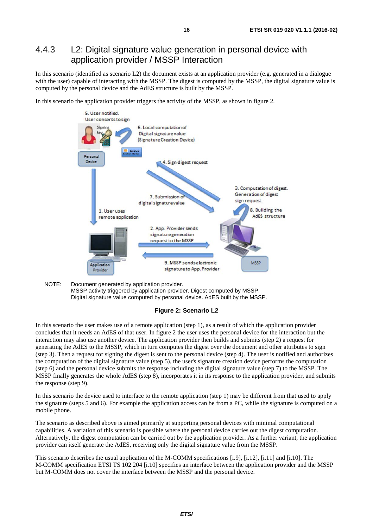### <span id="page-15-0"></span>4.4.3 L2: Digital signature value generation in personal device with application provider / MSSP Interaction

In this scenario (identified as scenario L2) the document exists at an application provider (e.g. generated in a dialogue with the user) capable of interacting with the MSSP. The digest is computed by the MSSP, the digital signature value is computed by the personal device and the AdES structure is built by the MSSP.

In this scenario the application provider triggers the activity of the MSSP, as shown in figure 2.



NOTE: Document generated by application provider. MSSP activity triggered by application provider. Digest computed by MSSP. Digital signature value computed by personal device. AdES built by the MSSP.



In this scenario the user makes use of a remote application (step 1), as a result of which the application provider concludes that it needs an AdES of that user. In figure 2 the user uses the personal device for the interaction but the interaction may also use another device. The application provider then builds and submits (step 2) a request for generating the AdES to the MSSP, which in turn computes the digest over the document and other attributes to sign (step 3). Then a request for signing the digest is sent to the personal device (step 4). The user is notified and authorizes the computation of the digital signature value (step 5), the user's signature creation device performs the computation (step 6) and the personal device submits the response including the digital signature value (step 7) to the MSSP. The MSSP finally generates the whole AdES (step 8), incorporates it in its response to the application provider, and submits the response (step 9).

In this scenario the device used to interface to the remote application (step 1) may be different from that used to apply the signature (steps 5 and 6). For example the application access can be from a PC, while the signature is computed on a mobile phone.

The scenario as described above is aimed primarily at supporting personal devices with minimal computational capabilities. A variation of this scenario is possible where the personal device carries out the digest computation. Alternatively, the digest computation can be carried out by the application provider. As a further variant, the application provider can itself generate the AdES, receiving only the digital signature value from the MSSP.

This scenario describes the usual application of the M-COMM specifications [\[i.9\]](#page-8-0), [\[i.12\]](#page-8-0), [\[i.11\]](#page-8-0) and [\[i.10\]](#page-8-0). The M-COMM specification ETSI TS 102 204 [\[i.10\]](#page-8-0) specifies an interface between the application provider and the MSSP but M-COMM does not cover the interface between the MSSP and the personal device.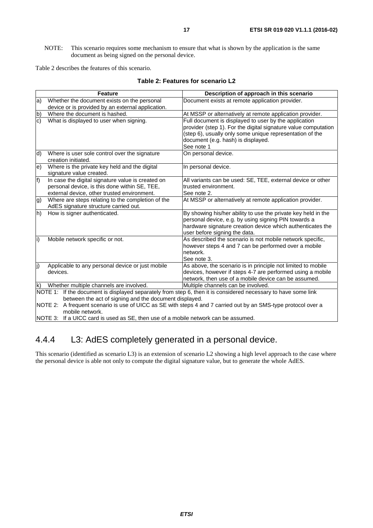<span id="page-16-0"></span>NOTE: This scenario requires some mechanism to ensure that what is shown by the application is the same document as being signed on the personal device.

Table 2 describes the features of this scenario.

|                | <b>Feature</b>                                                                                                                                                                                                          | Description of approach in this scenario                                                                                                                                                                                                |  |  |
|----------------|-------------------------------------------------------------------------------------------------------------------------------------------------------------------------------------------------------------------------|-----------------------------------------------------------------------------------------------------------------------------------------------------------------------------------------------------------------------------------------|--|--|
| a)             | Whether the document exists on the personal                                                                                                                                                                             | Document exists at remote application provider.                                                                                                                                                                                         |  |  |
|                | device or is provided by an external application.                                                                                                                                                                       |                                                                                                                                                                                                                                         |  |  |
| b)             | Where the document is hashed.                                                                                                                                                                                           | At MSSP or alternatively at remote application provider.                                                                                                                                                                                |  |  |
| $\overline{c}$ | What is displayed to user when signing.                                                                                                                                                                                 | Full document is displayed to user by the application<br>provider (step 1). For the digital signature value computation<br>(step 6), usually only some unique representation of the<br>document (e.g. hash) is displayed.<br>See note 1 |  |  |
| d)             | Where is user sole control over the signature<br>creation initiated.                                                                                                                                                    | On personal device.                                                                                                                                                                                                                     |  |  |
| $\epsilon$     | Where is the private key held and the digital<br>signature value created.                                                                                                                                               | In personal device.                                                                                                                                                                                                                     |  |  |
| f              | In case the digital signature value is created on<br>personal device, is this done within SE, TEE,<br>external device, other trusted environment.                                                                       | All variants can be used: SE, TEE, external device or other<br>trusted environment.<br>See note 2.                                                                                                                                      |  |  |
| g)             | Where are steps relating to the completion of the<br>AdES signature structure carried out.                                                                                                                              | At MSSP or alternatively at remote application provider.                                                                                                                                                                                |  |  |
| h)             | How is signer authenticated.                                                                                                                                                                                            | By showing his/her ability to use the private key held in the<br>personal device, e.g. by using signing PIN towards a<br>hardware signature creation device which authenticates the<br>user before signing the data.                    |  |  |
| i)             | Mobile network specific or not.                                                                                                                                                                                         | As described the scenario is not mobile network specific,<br>however steps 4 and 7 can be performed over a mobile<br>network.<br>See note 3.                                                                                            |  |  |
| (j             | Applicable to any personal device or just mobile<br>devices.                                                                                                                                                            | As above, the scenario is in principle not limited to mobile<br>devices, however if steps 4-7 are performed using a mobile<br>network, then use of a mobile device can be assumed.                                                      |  |  |
| lk)            | Whether multiple channels are involved.                                                                                                                                                                                 | Multiple channels can be involved.                                                                                                                                                                                                      |  |  |
|                | NOTE 1: If the document is displayed separately from step 6, then it is considered necessary to have some link<br>between the act of signing and the document displayed.                                                |                                                                                                                                                                                                                                         |  |  |
|                | NOTE 2: A frequent scenario is use of UICC as SE with steps 4 and 7 carried out by an SMS-type protocol over a<br>mobile network.<br>NOTE 3: If a UICC card is used as SE, then use of a mobile network can be assumed. |                                                                                                                                                                                                                                         |  |  |

#### **Table 2: Features for scenario L2**

# 4.4.4 L3: AdES completely generated in a personal device.

This scenario (identified as scenario L3) is an extension of scenario L2 showing a high level approach to the case where the personal device is able not only to compute the digital signature value, but to generate the whole AdES.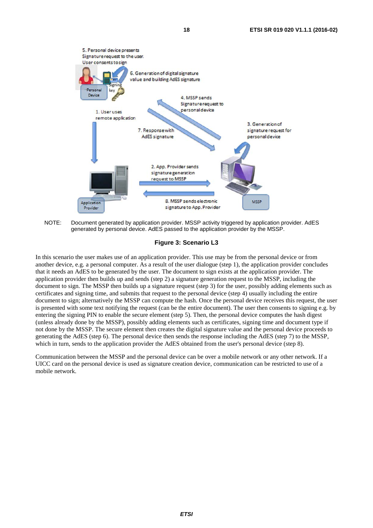

NOTE: Document generated by application provider. MSSP activity triggered by application provider. AdES generated by personal device. AdES passed to the application provider by the MSSP.

**Figure 3: Scenario L3** 

In this scenario the user makes use of an application provider. This use may be from the personal device or from another device, e.g. a personal computer. As a result of the user dialogue (step 1), the application provider concludes that it needs an AdES to be generated by the user. The document to sign exists at the application provider. The application provider then builds up and sends (step 2) a signature generation request to the MSSP, including the document to sign. The MSSP then builds up a signature request (step 3) for the user, possibly adding elements such as certificates and signing time, and submits that request to the personal device (step 4) usually including the entire document to sign; alternatively the MSSP can compute the hash. Once the personal device receives this request, the user is presented with some text notifying the request (can be the entire document). The user then consents to signing e.g. by entering the signing PIN to enable the secure element (step 5). Then, the personal device computes the hash digest (unless already done by the MSSP), possibly adding elements such as certificates, signing time and document type if not done by the MSSP. The secure element then creates the digital signature value and the personal device proceeds to generating the AdES (step 6). The personal device then sends the response including the AdES (step 7) to the MSSP, which in turn, sends to the application provider the AdES obtained from the user's personal device (step 8).

Communication between the MSSP and the personal device can be over a mobile network or any other network. If a UICC card on the personal device is used as signature creation device, communication can be restricted to use of a mobile network.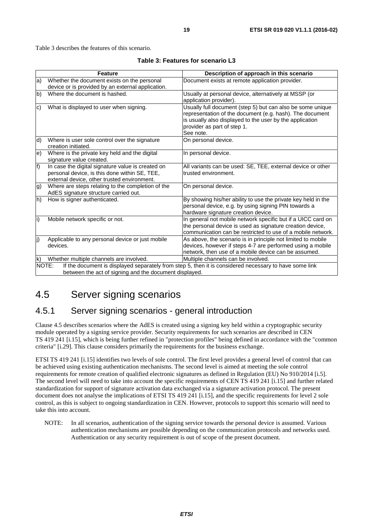<span id="page-18-0"></span>Table 3 describes the features of this scenario.

|                   | <b>Feature</b>                                                                                                                                    | Description of approach in this scenario                                                                                                                                                                                       |  |  |  |
|-------------------|---------------------------------------------------------------------------------------------------------------------------------------------------|--------------------------------------------------------------------------------------------------------------------------------------------------------------------------------------------------------------------------------|--|--|--|
| la)               | Whether the document exists on the personal                                                                                                       | Document exists at remote application provider.                                                                                                                                                                                |  |  |  |
|                   | device or is provided by an external application.                                                                                                 |                                                                                                                                                                                                                                |  |  |  |
| b)                | Where the document is hashed.                                                                                                                     | Usually at personal device, alternatively at MSSP (or<br>application provider).                                                                                                                                                |  |  |  |
| lc)               | What is displayed to user when signing.                                                                                                           | Usually full document (step 5) but can also be some unique<br>representation of the document (e.g. hash). The document<br>is usually also displayed to the user by the application<br>provider as part of step 1.<br>See note. |  |  |  |
| d)                | Where is user sole control over the signature<br>creation initiated.                                                                              | On personal device.                                                                                                                                                                                                            |  |  |  |
| $\vert e \rangle$ | Where is the private key held and the digital<br>signature value created.                                                                         | In personal device.                                                                                                                                                                                                            |  |  |  |
| f)                | In case the digital signature value is created on<br>personal device, is this done within SE, TEE,<br>external device, other trusted environment. | All variants can be used: SE, TEE, external device or other<br>trusted environment.                                                                                                                                            |  |  |  |
| g)                | Where are steps relating to the completion of the<br>AdES signature structure carried out.                                                        | On personal device.                                                                                                                                                                                                            |  |  |  |
| $ h\rangle$       | How is signer authenticated.                                                                                                                      | By showing his/her ability to use the private key held in the<br>personal device, e.g. by using signing PIN towards a<br>hardware signature creation device.                                                                   |  |  |  |
| li)               | Mobile network specific or not.                                                                                                                   | In general not mobile network specific but if a UICC card on<br>the personal device is used as signature creation device,<br>communication can be restricted to use of a mobile network.                                       |  |  |  |
| J)                | Applicable to any personal device or just mobile<br>devices.                                                                                      | As above, the scenario is in principle not limited to mobile<br>devices, however if steps 4-7 are performed using a mobile<br>network, then use of a mobile device can be assumed.                                             |  |  |  |
| lk)               | Whether multiple channels are involved.                                                                                                           | Multiple channels can be involved.                                                                                                                                                                                             |  |  |  |
|                   | NOTE:<br>If the document is displayed separately from step 5, then it is considered necessary to have some link                                   |                                                                                                                                                                                                                                |  |  |  |
|                   | between the act of signing and the document displayed.                                                                                            |                                                                                                                                                                                                                                |  |  |  |

#### **Table 3: Features for scenario L3**

# 4.5 Server signing scenarios

### 4.5.1 Server signing scenarios - general introduction

Clause 4.5 describes scenarios where the AdES is created using a signing key held within a cryptographic security module operated by a signing service provider. Security requirements for such scenarios are described in CEN TS 419 241 [\[i.15](#page-8-0)], which is being further refined in "protection profiles" being defined in accordance with the "common criteria" [\[i.29](#page-8-0)]. This clause considers primarily the requirements for the business exchange.

ETSI TS 419 241 [[i.15\]](#page-8-0) identifies two levels of sole control. The first level provides a general level of control that can be achieved using existing authentication mechanisms. The second level is aimed at meeting the sole control requirements for remote creation of qualified electronic signatures as defined in Regulation (EU) No 910/2014 [\[i.5](#page-7-0)]. The second level will need to take into account the specific requirements of CEN TS 419 241 [\[i.15\]](#page-8-0) and further related standardization for support of signature activation data exchanged via a signature activation protocol. The present document does not analyse the implications of ETSI TS 419 241 [[i.15](#page-8-0)], and the specific requirements for level 2 sole control, as this is subject to ongoing standardization in CEN. However, protocols to support this scenario will need to take this into account.

NOTE: In all scenarios, authentication of the signing service towards the personal device is assumed. Various authentication mechanisms are possible depending on the communication protocols and networks used. Authentication or any security requirement is out of scope of the present document.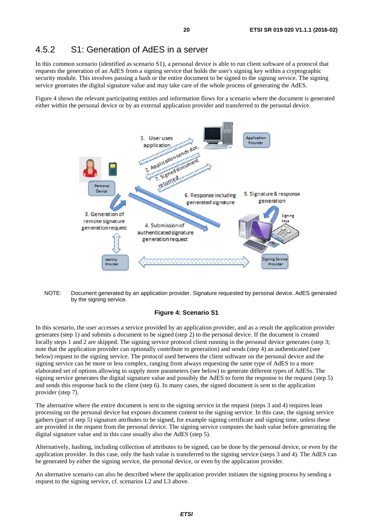### <span id="page-19-0"></span>4.5.2 S1: Generation of AdES in a server

In this common scenario (identified as scenario S1), a personal device is able to run client software of a protocol that requests the generation of an AdES from a signing service that holds the user's signing key within a cryptographic security module. This involves passing a hash or the entire document to be signed to the signing service. The signing service generates the digital signature value and may take care of the whole process of generating the AdES.

Figure 4 shows the relevant participating entities and information flows for a scenario where the document is generated either within the personal device or by an external application provider and transferred to the personal device.





#### **Figure 4: Scenario S1**

In this scenario, the user accesses a service provided by an application provider, and as a result the application provider generates (step 1) and submits a document to be signed (step 2) to the personal device. If the document is created locally steps 1 and 2 are skipped. The signing service protocol client running in the personal device generates (step 3; note that the application provider can optionally contribute to generation) and sends (step 4) an authenticated (see below) request to the signing service. The protocol used between the client software on the personal device and the signing service can be more or less complex, ranging from always requesting the same type of AdES to a more elaborated set of options allowing to supply more parameters (see below) to generate different types of AdESs. The signing service generates the digital signature value and possibly the AdES to form the response to the request (step 5) and sends this response back to the client (step 6). In many cases, the signed document is sent to the application provider (step 7).

The alternative where the entire document is sent to the signing service in the request (steps 3 and 4) requires least processing on the personal device but exposes document content to the signing service. In this case, the signing service gathers (part of step 5) signature attributes to be signed, for example signing certificate and signing time, unless these are provided in the request from the personal device. The signing service computes the hash value before generating the digital signature value and in this case usually also the AdES (step 5).

Alternatively, hashing, including collection of attributes to be signed, can be done by the personal device, or even by the application provider. In this case, only the hash value is transferred to the signing service (steps 3 and 4). The AdES can be generated by either the signing service, the personal device, or even by the application provider.

An alternative scenario can also be described where the application provider initiates the signing process by sending a request to the signing service, cf. scenarios L2 and L3 above.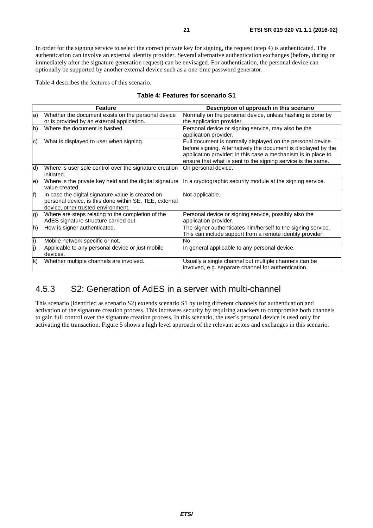<span id="page-20-0"></span>In order for the signing service to select the correct private key for signing, the request (step 4) is authenticated. The authentication can involve an external identity provider. Several alternative authentication exchanges (before, during or immediately after the signature generation request) can be envisaged. For authentication, the personal device can optionally be supported by another external device such as a one-time password generator.

Table 4 describes the features of this scenario.

|  |  |  | Table 4: Features for scenario S1 |  |
|--|--|--|-----------------------------------|--|
|--|--|--|-----------------------------------|--|

|     | <b>Feature</b>                                                                                              | Description of approach in this scenario                                                                     |
|-----|-------------------------------------------------------------------------------------------------------------|--------------------------------------------------------------------------------------------------------------|
| la) | Whether the document exists on the personal device                                                          | Normally on the personal device, unless hashing is done by                                                   |
|     | or is provided by an external application.                                                                  | the application provider.                                                                                    |
| b)  | Where the document is hashed.                                                                               | Personal device or signing service, may also be the                                                          |
|     |                                                                                                             | application provider.                                                                                        |
| lc) | What is displayed to user when signing.                                                                     | Full document is normally displayed on the personal device                                                   |
|     |                                                                                                             | before signing. Alternatively the document is displayed by the                                               |
|     |                                                                                                             | application provider; in this case a mechanism is in place to                                                |
|     |                                                                                                             | ensure that what is sent to the signing service is the same.                                                 |
| d)  | Where is user sole control over the signature creation<br>initiated.                                        | On personal device.                                                                                          |
| le) | Where is the private key held and the digital signature<br>value created.                                   | In a cryptographic security module at the signing service.                                                   |
| f)  | In case the digital signature value is created on<br>personal device, is this done within SE, TEE, external | Not applicable.                                                                                              |
|     | device, other trusted environment.                                                                          |                                                                                                              |
| g)  | Where are steps relating to the completion of the                                                           | Personal device or signing service, possibly also the                                                        |
|     | AdES signature structure carried out.                                                                       | application provider.                                                                                        |
| lh) | How is signer authenticated.                                                                                | The signer authenticates him/herself to the signing service.                                                 |
|     |                                                                                                             | This can include support from a remote identity provider.                                                    |
| li) | Mobile network specific or not.                                                                             | No.                                                                                                          |
| j)  | Applicable to any personal device or just mobile<br>devices.                                                | In general applicable to any personal device.                                                                |
| k)  | Whether multiple channels are involved.                                                                     | Usually a single channel but multiple channels can be<br>involved, e.g. separate channel for authentication. |

# 4.5.3 S2: Generation of AdES in a server with multi-channel

This scenario (identified as scenario S2) extends scenario S1 by using different channels for authentication and activation of the signature creation process. This increases security by requiring attackers to compromise both channels to gain full control over the signature creation process. In this scenario, the user's personal device is used only for activating the transaction. Figure 5 shows a high level approach of the relevant actors and exchanges in this scenario.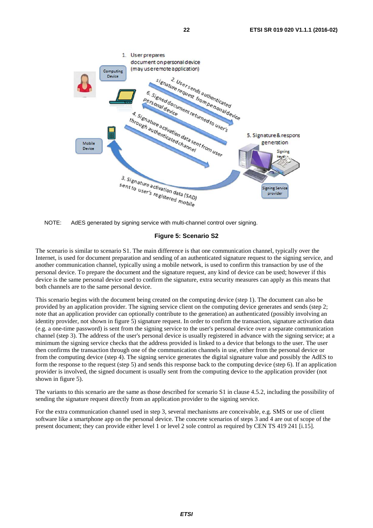

NOTE: AdES generated by signing service with multi-channel control over signing.

#### **Figure 5: Scenario S2**

The scenario is similar to scenario S1. The main difference is that one communication channel, typically over the Internet, is used for document preparation and sending of an authenticated signature request to the signing service, and another communication channel, typically using a mobile network, is used to confirm this transaction by use of the personal device. To prepare the document and the signature request, any kind of device can be used; however if this device is the same personal device used to confirm the signature, extra security measures can apply as this means that both channels are to the same personal device.

This scenario begins with the document being created on the computing device (step 1). The document can also be provided by an application provider. The signing service client on the computing device generates and sends (step 2; note that an application provider can optionally contribute to the generation) an authenticated (possibly involving an identity provider, not shown in figure 5) signature request. In order to confirm the transaction, signature activation data (e.g. a one-time password) is sent from the signing service to the user's personal device over a separate communication channel (step 3). The address of the user's personal device is usually registered in advance with the signing service; at a minimum the signing service checks that the address provided is linked to a device that belongs to the user. The user then confirms the transaction through one of the communication channels in use, either from the personal device or from the computing device (step 4). The signing service generates the digital signature value and possibly the AdES to form the response to the request (step 5) and sends this response back to the computing device (step 6). If an application provider is involved, the signed document is usually sent from the computing device to the application provider (not shown in figure 5).

The variants to this scenario are the same as those described for scenario S1 in clause 4.5.2, including the possibility of sending the signature request directly from an application provider to the signing service.

For the extra communication channel used in step 3, several mechanisms are conceivable, e.g. SMS or use of client software like a smartphone app on the personal device. The concrete scenarios of steps 3 and 4 are out of scope of the present document; they can provide either level 1 or level 2 sole control as required by CEN TS 419 241 [\[i.15](#page-8-0)].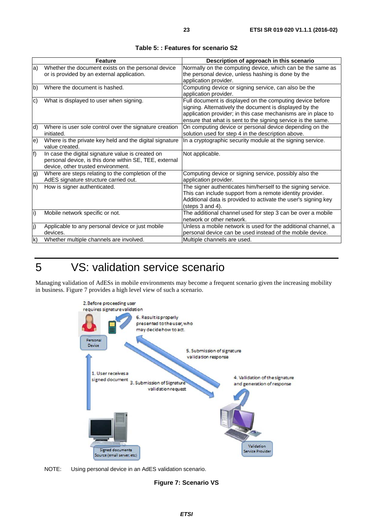<span id="page-22-0"></span>

|                   | <b>Feature</b>                                                                                                                                    | Description of approach in this scenario                                                                                                                                                                                                              |
|-------------------|---------------------------------------------------------------------------------------------------------------------------------------------------|-------------------------------------------------------------------------------------------------------------------------------------------------------------------------------------------------------------------------------------------------------|
| a)                | Whether the document exists on the personal device<br>or is provided by an external application.                                                  | Normally on the computing device, which can be the same as<br>the personal device, unless hashing is done by the<br>application provider.                                                                                                             |
| b)                | Where the document is hashed.                                                                                                                     | Computing device or signing service, can also be the<br>application provider.                                                                                                                                                                         |
| $\mathbf{c}$      | What is displayed to user when signing.                                                                                                           | Full document is displayed on the computing device before<br>signing. Alternatively the document is displayed by the<br>application provider; in this case mechanisms are in place to<br>ensure that what is sent to the signing service is the same. |
| $ d\rangle$       | Where is user sole control over the signature creation<br>initiated.                                                                              | On computing device or personal device depending on the<br>solution used for step 4 in the description above.                                                                                                                                         |
| $\vert e \rangle$ | Where is the private key held and the digital signature<br>value created.                                                                         | In a cryptographic security module at the signing service.                                                                                                                                                                                            |
| f)                | In case the digital signature value is created on<br>personal device, is this done within SE, TEE, external<br>device, other trusted environment. | Not applicable.                                                                                                                                                                                                                                       |
| g)                | Where are steps relating to the completion of the<br>AdES signature structure carried out.                                                        | Computing device or signing service, possibly also the<br>application provider.                                                                                                                                                                       |
| h)                | How is signer authenticated.                                                                                                                      | The signer authenticates him/herself to the signing service.<br>This can include support from a remote identity provider.<br>Additional data is provided to activate the user's signing key<br>(steps 3 and 4).                                       |
| li)               | Mobile network specific or not.                                                                                                                   | The additional channel used for step 3 can be over a mobile<br>network or other network.                                                                                                                                                              |
| lj)               | Applicable to any personal device or just mobile<br>devices.                                                                                      | Unless a mobile network is used for the additional channel, a<br>personal device can be used instead of the mobile device.                                                                                                                            |
| lk)               | Whether multiple channels are involved.                                                                                                           | Multiple channels are used.                                                                                                                                                                                                                           |

#### **Table 5: : Features for scenario S2**

# 5 VS: validation service scenario

Managing validation of AdESs in mobile environments may become a frequent scenario given the increasing mobility in business. Figure 7 provides a high level view of such a scenario.



NOTE: Using personal device in an AdES validation scenario.

#### **Figure 7: Scenario VS**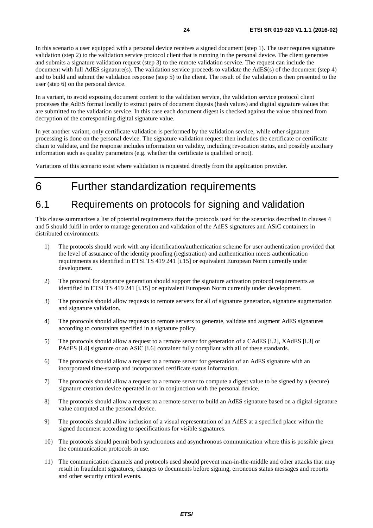<span id="page-23-0"></span>In this scenario a user equipped with a personal device receives a signed document (step 1). The user requires signature validation (step 2) to the validation service protocol client that is running in the personal device. The client generates and submits a signature validation request (step 3) to the remote validation service. The request can include the document with full AdES signature(s). The validation service proceeds to validate the AdES(s) of the document (step 4) and to build and submit the validation response (step 5) to the client. The result of the validation is then presented to the user (step 6) on the personal device.

In a variant, to avoid exposing document content to the validation service, the validation service protocol client processes the AdES format locally to extract pairs of document digests (hash values) and digital signature values that are submitted to the validation service. In this case each document digest is checked against the value obtained from decryption of the corresponding digital signature value.

In yet another variant, only certificate validation is performed by the validation service, while other signature processing is done on the personal device. The signature validation request then includes the certificate or certificate chain to validate, and the response includes information on validity, including revocation status, and possibly auxiliary information such as quality parameters (e.g. whether the certificate is qualified or not).

Variations of this scenario exist where validation is requested directly from the application provider.

# 6 Further standardization requirements

# 6.1 Requirements on protocols for signing and validation

This clause summarizes a list of potential requirements that the protocols used for the scenarios described in clauses 4 and 5 should fulfil in order to manage generation and validation of the AdES signatures and ASiC containers in distributed environments:

- 1) The protocols should work with any identification/authentication scheme for user authentication provided that the level of assurance of the identity proofing (registration) and authentication meets authentication requirements as identified in ETSI TS 419 241 [\[i.15](#page-8-0)] or equivalent European Norm currently under development.
- 2) The protocol for signature generation should support the signature activation protocol requirements as identified in ETSI TS 419 241 [[i.15](#page-8-0)] or equivalent European Norm currently under development.
- 3) The protocols should allow requests to remote servers for all of signature generation, signature augmentation and signature validation.
- 4) The protocols should allow requests to remote servers to generate, validate and augment AdES signatures according to constraints specified in a signature policy.
- 5) The protocols should allow a request to a remote server for generation of a CAdES [[i.2](#page-7-0)], XAdES [\[i.3\]](#page-7-0) or PAdES [\[i.4](#page-7-0)] signature or an ASiC [[i.6](#page-7-0)] container fully compliant with all of these standards.
- 6) The protocols should allow a request to a remote server for generation of an AdES signature with an incorporated time-stamp and incorporated certificate status information.
- 7) The protocols should allow a request to a remote server to compute a digest value to be signed by a (secure) signature creation device operated in or in conjunction with the personal device.
- 8) The protocols should allow a request to a remote server to build an AdES signature based on a digital signature value computed at the personal device.
- 9) The protocols should allow inclusion of a visual representation of an AdES at a specified place within the signed document according to specifications for visible signatures.
- 10) The protocols should permit both synchronous and asynchronous communication where this is possible given the communication protocols in use.
- 11) The communication channels and protocols used should prevent man-in-the-middle and other attacks that may result in fraudulent signatures, changes to documents before signing, erroneous status messages and reports and other security critical events.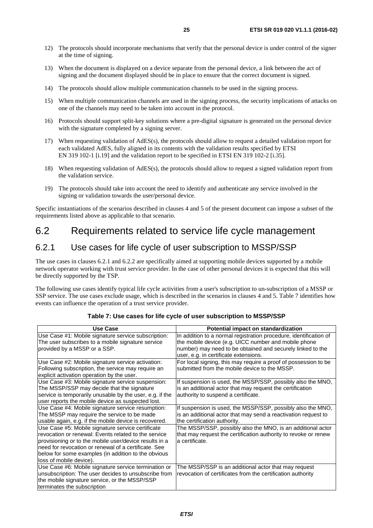- <span id="page-24-0"></span>12) The protocols should incorporate mechanisms that verify that the personal device is under control of the signer at the time of signing.
- 13) When the document is displayed on a device separate from the personal device, a link between the act of signing and the document displayed should be in place to ensure that the correct document is signed.
- 14) The protocols should allow multiple communication channels to be used in the signing process.
- 15) When multiple communication channels are used in the signing process, the security implications of attacks on one of the channels may need to be taken into account in the protocol.
- 16) Protocols should support split-key solutions where a pre-digital signature is generated on the personal device with the signature completed by a signing server.
- 17) When requesting validation of AdES(s), the protocols should allow to request a detailed validation report for each validated AdES, fully aligned in its contents with the validation results specified by ETSI EN 319 102-1 [[i.19](#page-8-0)] and the validation report to be specified in ETSI EN 319 102-2 [[i.35\]](#page-9-0).
- 18) When requesting validation of AdES(s), the protocols should allow to request a signed validation report from the validation service.
- 19) The protocols should take into account the need to identify and authenticate any service involved in the signing or validation towards the user/personal device.

Specific instantiations of the scenarios described in clauses 4 and 5 of the present document can impose a subset of the requirements listed above as applicable to that scenario.

### 6.2 Requirements related to service life cycle management

### 6.2.1 Use cases for life cycle of user subscription to MSSP/SSP

The use cases in clauses 6.2.1 and 6.2.2 are specifically aimed at supporting mobile devices supported by a mobile network operator working with trust service provider. In the case of other personal devices it is expected that this will be directly supported by the TSP.

The following use cases identify typical life cycle activities from a user's subscription to un-subscription of a MSSP or SSP service. The use cases exclude usage, which is described in the scenarios in clauses 4 and 5. Table 7 identifies how events can influence the operation of a trust service provider.

| Use Case                                                 | Potential impact on standardization                               |
|----------------------------------------------------------|-------------------------------------------------------------------|
| Use Case #1: Mobile signature service subscription:      | In addition to a normal registration procedure, identification of |
| The user subscribes to a mobile signature service        | the mobile device (e.g. UICC number and mobile phone              |
| provided by a MSSP or a SSP.                             | number) may need to be obtained and securely linked to the        |
|                                                          | user, e.g. in certificate extensions.                             |
| Use Case #2: Mobile signature service activation:        | For local signing, this may require a proof of possession to be   |
| Following subscription, the service may require an       | submitted from the mobile device to the MSSP.                     |
| explicit activation operation by the user.               |                                                                   |
| Use Case #3: Mobile signature service suspension:        | If suspension is used, the MSSP/SSP, possibly also the MNO,       |
| The MSSP/SSP may decide that the signature               | is an additional actor that may request the certification         |
| service is temporarily unusable by the user, e.g. if the | authority to suspend a certificate.                               |
| user reports the mobile device as suspected lost.        |                                                                   |
| Use Case #4: Mobile signature service resumption:        | If suspension is used, the MSSP/SSP, possibly also the MNO,       |
| The MSSP may require the service to be made              | is an additional actor that may send a reactivation request to    |
| usable again, e.g. if the mobile device is recovered.    | the certification authority.                                      |
| Use Case #5: Mobile signature service certificate        | The MSSP/SSP, possibly also the MNO, is an additional actor       |
| revocation or renewal: Events related to the service     | that may request the certification authority to revoke or renew   |
| provisioning or to the mobile user/device results in a   | a certificate.                                                    |
| need for revocation or renewal of a certificate. See     |                                                                   |
| below for some examples (in addition to the obvious      |                                                                   |
| loss of mobile device).                                  |                                                                   |
| Use Case #6: Mobile signature service termination or     | The MSSP/SSP is an additional actor that may request              |
| unsubscription: The user decides to unsubscribe from     | revocation of certificates from the certification authority       |
| the mobile signature service, or the MSSP/SSP            |                                                                   |
| terminates the subscription                              |                                                                   |

#### **Table 7: Use cases for life cycle of user subscription to MSSP/SSP**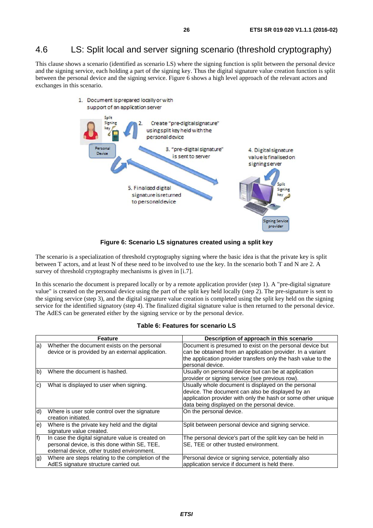# <span id="page-25-0"></span>4.6 LS: Split local and server signing scenario (threshold cryptography)

This clause shows a scenario (identified as scenario LS) where the signing function is split between the personal device and the signing service, each holding a part of the signing key. Thus the digital signature value creation function is split between the personal device and the signing service. Figure 6 shows a high level approach of the relevant actors and exchanges in this scenario.



**Figure 6: Scenario LS signatures created using a split key** 

The scenario is a specialization of threshold cryptography signing where the basic idea is that the private key is split between T actors, and at least N of these need to be involved to use the key. In the scenario both T and N are 2. A survey of threshold cryptography mechanisms is given in [\[i.7\]](#page-7-0).

In this scenario the document is prepared locally or by a remote application provider (step 1). A "pre-digital signature value" is created on the personal device using the part of the split key held locally (step 2). The pre-signature is sent to the signing service (step 3), and the digital signature value creation is completed using the split key held on the signing service for the identified signatory (step 4). The finalized digital signature value is then returned to the personal device. The AdES can be generated either by the signing service or by the personal device.

|  |  | Table 6: Features for scenario LS |  |
|--|--|-----------------------------------|--|
|--|--|-----------------------------------|--|

|     | Feature                                                                                                                                           | Description of approach in this scenario                                                                                                                                                                                |
|-----|---------------------------------------------------------------------------------------------------------------------------------------------------|-------------------------------------------------------------------------------------------------------------------------------------------------------------------------------------------------------------------------|
| la) | Whether the document exists on the personal<br>device or is provided by an external application.                                                  | Document is presumed to exist on the personal device but<br>can be obtained from an application provider. In a variant<br>the application provider transfers only the hash value to the<br>personal device.             |
| lb) | Where the document is hashed.                                                                                                                     | Usually on personal device but can be at application<br>provider or signing service (see previous row).                                                                                                                 |
| Ic) | What is displayed to user when signing.                                                                                                           | Usually whole document is displayed on the personal<br>device. The document can also be displayed by an<br>application provider with only the hash or some other unique<br>data being displayed on the personal device. |
| d)  | Where is user sole control over the signature<br>creation initiated.                                                                              | On the personal device.                                                                                                                                                                                                 |
| le) | Where is the private key held and the digital<br>signature value created.                                                                         | Split between personal device and signing service.                                                                                                                                                                      |
| lf) | In case the digital signature value is created on<br>personal device, is this done within SE, TEE,<br>external device, other trusted environment. | The personal device's part of the split key can be held in<br>SE, TEE or other trusted environment.                                                                                                                     |
| lg) | Where are steps relating to the completion of the<br>AdES signature structure carried out.                                                        | Personal device or signing service, potentially also<br>application service if document is held there.                                                                                                                  |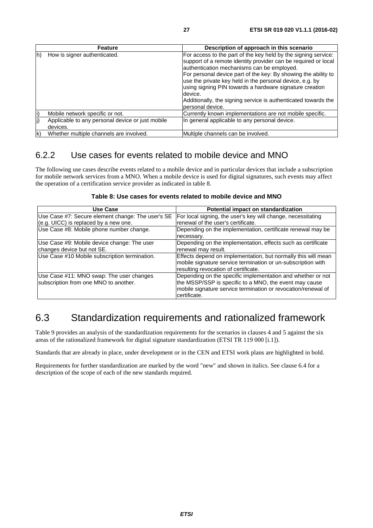<span id="page-26-0"></span>

|              | <b>Feature</b>                                               | Description of approach in this scenario                                                                                                                                                                                                                                                                                                                                                                                                                                 |
|--------------|--------------------------------------------------------------|--------------------------------------------------------------------------------------------------------------------------------------------------------------------------------------------------------------------------------------------------------------------------------------------------------------------------------------------------------------------------------------------------------------------------------------------------------------------------|
| lh)          | How is signer authenticated.                                 | For access to the part of the key held by the signing service:<br>support of a remote identity provider can be required or local<br>authentication mechanisms can be employed.<br>For personal device part of the key: By showing the ability to<br>use the private key held in the personal device, e.g. by<br>using signing PIN towards a hardware signature creation<br>device.<br>Additionally, the signing service is authenticated towards the<br>personal device. |
| li)          | Mobile network specific or not.                              | Currently known implementations are not mobile specific.                                                                                                                                                                                                                                                                                                                                                                                                                 |
| (j           | Applicable to any personal device or just mobile<br>devices. | In general applicable to any personal device.                                                                                                                                                                                                                                                                                                                                                                                                                            |
| $\mathsf{K}$ | Whether multiple channels are involved.                      | Multiple channels can be involved.                                                                                                                                                                                                                                                                                                                                                                                                                                       |

### 6.2.2 Use cases for events related to mobile device and MNO

The following use cases describe events related to a mobile device and in particular devices that include a subscription for mobile network services from a MNO. When a mobile device is used for digital signatures, such events may affect the operation of a certification service provider as indicated in table 8.

| Use Case                                          | Potential impact on standardization                           |
|---------------------------------------------------|---------------------------------------------------------------|
| Use Case #7: Secure element change: The user's SE | For local signing, the user's key will change, necessitating  |
| (e.g. UICC) is replaced by a new one.             | renewal of the user's certificate.                            |
| Use Case #8: Mobile phone number change.          | Depending on the implementation, certificate renewal may be   |
|                                                   | necessary.                                                    |
| Use Case #9: Mobile device change: The user       | Depending on the implementation, effects such as certificate  |
| changes device but not SE.                        | renewal may result.                                           |
| Use Case #10 Mobile subscription termination.     | Effects depend on implementation, but normally this will mean |
|                                                   | mobile signature service termination or un-subscription with  |
|                                                   | resulting revocation of certificate.                          |
| Use Case #11: MNO swap: The user changes          | Depending on the specific implementation and whether or not   |
| subscription from one MNO to another.             | the MSSP/SSP is specific to a MNO, the event may cause        |
|                                                   | mobile signature service termination or revocation/renewal of |
|                                                   | certificate.                                                  |

#### **Table 8: Use cases for events related to mobile device and MNO**

# 6.3 Standardization requirements and rationalized framework

Table 9 provides an analysis of the standardization requirements for the scenarios in clauses 4 and 5 against the six areas of the rationalized framework for digital signature standardization (ETSI TR 119 000 [[i.1\]](#page-7-0)).

Standards that are already in place, under development or in the CEN and ETSI work plans are highlighted in bold.

Requirements for further standardization are marked by the word "new" and shown in italics. See clause 6.4 for a description of the scope of each of the new standards required.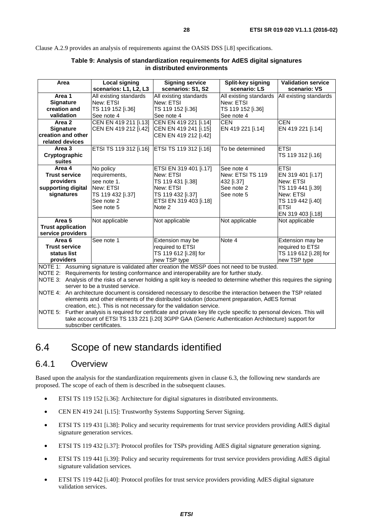<span id="page-27-0"></span>Clause A.2.9 provides an analysis of requirements against the OASIS DSS [i.8] specifications.

| <b>Signing service</b><br>Split-key signing<br><b>Validation service</b><br>Area           |                                                                                                                        |                                                                                                              |                        |                        |  |  |
|--------------------------------------------------------------------------------------------|------------------------------------------------------------------------------------------------------------------------|--------------------------------------------------------------------------------------------------------------|------------------------|------------------------|--|--|
|                                                                                            | Local signing<br>scenarios: L1, L2, L3                                                                                 | scenarios: S1, S2                                                                                            | scenario: LS           | scenario: VS           |  |  |
| Area 1                                                                                     | All existing standards                                                                                                 | All existing standards                                                                                       | All existing standards | All existing standards |  |  |
| <b>Signature</b>                                                                           | New: ETSI                                                                                                              | New: ETSI                                                                                                    | New: ETSI              |                        |  |  |
| creation and                                                                               | TS 119 152 [i.36]                                                                                                      | TS 119 152 [i.36]                                                                                            | TS 119 152 [i.36]      |                        |  |  |
| validation                                                                                 | See note 4                                                                                                             | See note 4                                                                                                   | See note 4             |                        |  |  |
| Area 2                                                                                     | CEN EN 419 211 [i.13]                                                                                                  | <b>CEN</b><br>CEN EN 419 221 [i.14]                                                                          |                        | <b>CEN</b>             |  |  |
| <b>Signature</b>                                                                           | CEN EN 419 212 [i.42]                                                                                                  | CEN EN 419 241 [i.15]                                                                                        | EN 419 221 [i.14]      | EN 419 221 [i.14]      |  |  |
| creation and other                                                                         |                                                                                                                        | CEN EN 419 212 [i.42]                                                                                        |                        |                        |  |  |
| related devices                                                                            |                                                                                                                        |                                                                                                              |                        |                        |  |  |
| Area 3                                                                                     | ETSI TS 119 312 [i.16]                                                                                                 | ETSI TS 119 312 [i.16]                                                                                       | To be determined       | <b>ETSI</b>            |  |  |
| Cryptographic                                                                              |                                                                                                                        |                                                                                                              |                        | TS 119 312 [i.16]      |  |  |
| suites                                                                                     |                                                                                                                        |                                                                                                              |                        |                        |  |  |
| Area 4                                                                                     | No policy                                                                                                              | ETSI EN 319 401 [i.17]                                                                                       | See note 4             | <b>ETSI</b>            |  |  |
| <b>Trust service</b>                                                                       | requirements,                                                                                                          | New: ETSI                                                                                                    | New: ETSI TS 119       | EN 319 401 [i.17]      |  |  |
| providers                                                                                  | see note 1.                                                                                                            | TS 119 431 [i.38]                                                                                            | 432 [i.37]             | New: ETSI              |  |  |
| supporting digital                                                                         | New: ETSI                                                                                                              | New: ETSI                                                                                                    | See note 2             | TS 119 441 [i.39]      |  |  |
| signatures                                                                                 | TS 119 432 [i.37]                                                                                                      | TS 119 432 [i.37]                                                                                            | See note 5             | New: ETSI              |  |  |
|                                                                                            | See note 2                                                                                                             | ETSI EN 319 403 [i.18]                                                                                       |                        | TS 119 442 [i.40]      |  |  |
|                                                                                            | See note 5                                                                                                             | Note 2                                                                                                       |                        | <b>ETSI</b>            |  |  |
|                                                                                            |                                                                                                                        |                                                                                                              |                        | EN 319 403 [i.18]      |  |  |
| Area <sub>5</sub>                                                                          | Not applicable                                                                                                         | Not applicable                                                                                               | Not applicable         | Not applicable         |  |  |
| <b>Trust application</b>                                                                   |                                                                                                                        |                                                                                                              |                        |                        |  |  |
| service providers                                                                          |                                                                                                                        |                                                                                                              |                        |                        |  |  |
| Area 6                                                                                     | See note 1                                                                                                             | Extension may be                                                                                             | Note 4                 | Extension may be       |  |  |
| <b>Trust service</b>                                                                       |                                                                                                                        | required to ETSI                                                                                             |                        | required to ETSI       |  |  |
| status list                                                                                |                                                                                                                        | TS 119 612 [i.28] for                                                                                        |                        | TS 119 612 [i.28] for  |  |  |
| providers                                                                                  |                                                                                                                        | new TSP type                                                                                                 |                        | new TSP type           |  |  |
|                                                                                            | NOTE 1: Assuming signature is validated after creation the MSSP does not need to be trusted.                           |                                                                                                              |                        |                        |  |  |
|                                                                                            | NOTE 2: Requirements for testing conformance and interoperability are for further study.                               |                                                                                                              |                        |                        |  |  |
|                                                                                            | NOTE 3: Analysis of the risks of a server holding a split key is needed to determine whether this requires the signing |                                                                                                              |                        |                        |  |  |
|                                                                                            | server to be a trusted service.                                                                                        |                                                                                                              |                        |                        |  |  |
|                                                                                            |                                                                                                                        | NOTE 4: An architecture document is considered necessary to describe the interaction between the TSP related |                        |                        |  |  |
| elements and other elements of the distributed solution (document preparation, AdES format |                                                                                                                        |                                                                                                              |                        |                        |  |  |

#### **Table 9: Analysis of standardization requirements for AdES digital signatures in distributed environments**

creation, etc.). This is not necessary for the validation service. NOTE 5: Further analysis is required for certificate and private key life cycle specific to personal devices. This will take account of ETSI TS 133 221 [[i.20](#page-8-0)] 3GPP GAA (Generic Authentication Architecture) support for subscriber certificates.

# 6.4 Scope of new standards identified

### 6.4.1 Overview

Based upon the analysis for the standardization requirements given in clause 6.3, the following new standards are proposed. The scope of each of them is described in the subsequent clauses.

- ETSI TS 119 152 [\[i.36\]](#page-9-0): Architecture for digital signatures in distributed environments.
- CEN EN 419 241 [\[i.15](#page-8-0)]: Trustworthy Systems Supporting Server Signing.
- ETSI TS 119 431 [\[i.38\]](#page-9-0): Policy and security requirements for trust service providers providing AdES digital signature generation services.
- ETSI TS 119 432 [\[i.37\]](#page-9-0): Protocol profiles for TSPs providing AdES digital signature generation signing.
- ETSI TS 119 441 [\[i.39\]](#page-9-0): Policy and security requirements for trust service providers providing AdES digital signature validation services.
- ETSI TS 119 442 [\[i.40\]](#page-9-0): Protocol profiles for trust service providers providing AdES digital signature validation services.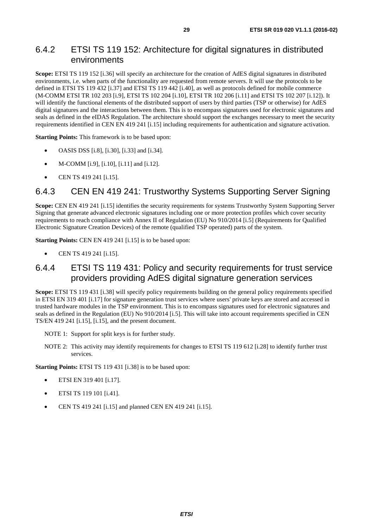### <span id="page-28-0"></span>6.4.2 ETSI TS 119 152: Architecture for digital signatures in distributed environments

**Scope:** ETSI TS 119 152 [[i.36\]](#page-9-0) will specify an architecture for the creation of AdES digital signatures in distributed environments, i.e. when parts of the functionality are requested from remote servers. It will use the protocols to be defined in ETSI TS 119 432 [\[i.37](#page-9-0)] and ETSI TS 119 442 [\[i.40\]](#page-9-0), as well as protocols defined for mobile commerce (M-COMM ETSI TR 102 203 [[i.9\]](#page-8-0), ETSI TS 102 204 [\[i.10](#page-8-0)], ETSI TR 102 206 [\[i.11](#page-8-0)] and ETSI TS 102 207 [\[i.12\]](#page-8-0)). It will identify the functional elements of the distributed support of users by third parties (TSP or otherwise) for AdES digital signatures and the interactions between them. This is to encompass signatures used for electronic signatures and seals as defined in the eIDAS Regulation. The architecture should support the exchanges necessary to meet the security requirements identified in CEN EN 419 241 [[i.15](#page-8-0)] including requirements for authentication and signature activation.

**Starting Points:** This framework is to be based upon:

- OASIS DSS [i.8], [\[i.30](#page-8-0)], [[i.33](#page-8-0)] and [\[i.34](#page-9-0)].
- M-COMM [\[i.9\]](#page-8-0), [\[i.10](#page-8-0)], [\[i.11](#page-8-0)] and [\[i.12\]](#page-8-0).
- CEN TS 419 241 [[i.15\]](#page-8-0).

### 6.4.3 CEN EN 419 241: Trustworthy Systems Supporting Server Signing

**Scope:** CEN EN 419 241 [\[i.15](#page-8-0)] identifies the security requirements for systems Trustworthy System Supporting Server Signing that generate advanced electronic signatures including one or more protection profiles which cover security requirements to reach compliance with Annex II of Regulation (EU) No 910/2014 [\[i.5](#page-7-0)] (Requirements for Qualified Electronic Signature Creation Devices) of the remote (qualified TSP operated) parts of the system.

**Starting Points: CEN EN 419 241 [\[i.15\]](#page-8-0) is to be based upon:** 

• CEN TS 419 241 [[i.15\]](#page-8-0).

### 6.4.4 ETSI TS 119 431: Policy and security requirements for trust service providers providing AdES digital signature generation services

**Scope:** ETSI TS 119 431 [[i.38\]](#page-9-0) will specify policy requirements building on the general policy requirements specified in ETSI EN 319 401 [[i.17\]](#page-8-0) for signature generation trust services where users' private keys are stored and accessed in trusted hardware modules in the TSP environment. This is to encompass signatures used for electronic signatures and seals as defined in the Regulation (EU) No 910/2014 [\[i.5](#page-7-0)]. This will take into account requirements specified in CEN TS/EN 419 241 [\[i.15](#page-8-0)], [\[i.15](#page-8-0)], and the present document.

NOTE 1: Support for split keys is for further study.

NOTE 2: This activity may identify requirements for changes to ETSI TS 119 612 [\[i.28\]](#page-8-0) to identify further trust services.

**Starting Points:** ETSI TS 119 431 [\[i.38](#page-9-0)] is to be based upon:

- ETSI EN 319 401 [\[i.17](#page-8-0)].
- ETSI TS 119 101 [\[i.41\]](#page-9-0).
- CEN TS 419 241 [[i.15\]](#page-8-0) and planned CEN EN 419 241 [\[i.15\]](#page-8-0).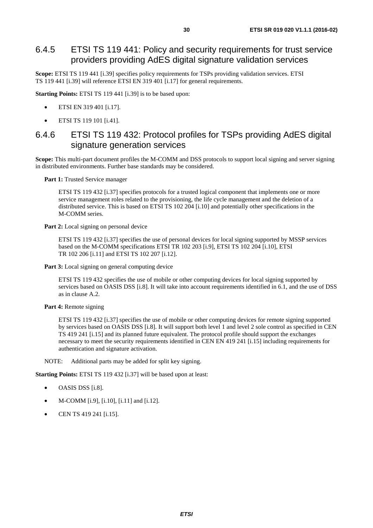### <span id="page-29-0"></span>6.4.5 ETSI TS 119 441: Policy and security requirements for trust service providers providing AdES digital signature validation services

**Scope:** ETSI TS 119 441 [[i.39\]](#page-9-0) specifies policy requirements for TSPs providing validation services. ETSI TS 119 441 [\[i.39](#page-9-0)] will reference ETSI EN 319 401 [[i.17](#page-8-0)] for general requirements.

**Starting Points:** ETSI TS 119 441 [\[i.39](#page-9-0)] is to be based upon:

- ETSI EN 319 401 [\[i.17](#page-8-0)].
- ETSI TS 119 101 [\[i.41\]](#page-9-0).

### 6.4.6 ETSI TS 119 432: Protocol profiles for TSPs providing AdES digital signature generation services

**Scope:** This multi-part document profiles the M-COMM and DSS protocols to support local signing and server signing in distributed environments. Further base standards may be considered.

Part 1: Trusted Service manager

ETSI TS 119 432 [\[i.37\]](#page-9-0) specifies protocols for a trusted logical component that implements one or more service management roles related to the provisioning, the life cycle management and the deletion of a distributed service. This is based on ETSI TS 102 204 [\[i.10\]](#page-8-0) and potentially other specifications in the M-COMM series.

Part 2: Local signing on personal device

ETSI TS 119 432 [\[i.37\]](#page-9-0) specifies the use of personal devices for local signing supported by MSSP services based on the M-COMM specifications ETSI TR 102 203 [\[i.9](#page-8-0)], ETSI TS 102 204 [[i.10](#page-8-0)], ETSI TR 102 206 [\[i.11](#page-8-0)] and ETSI TS 102 207 [\[i.12](#page-8-0)].

Part 3: Local signing on general computing device

ETSI TS 119 432 specifies the use of mobile or other computing devices for local signing supported by services based on OASIS DSS [i.8]. It will take into account requirements identified in 6.1, and the use of DSS as in clause A.2.

**Part 4:** Remote signing

ETSI TS 119 432 [\[i.37\]](#page-9-0) specifies the use of mobile or other computing devices for remote signing supported by services based on OASIS DSS [i.8]. It will support both level 1 and level 2 sole control as specified in CEN TS 419 241 [\[i.15](#page-8-0)] and its planned future equivalent. The protocol profile should support the exchanges necessary to meet the security requirements identified in CEN EN 419 241 [\[i.15](#page-8-0)] including requirements for authentication and signature activation.

NOTE: Additional parts may be added for split key signing.

**Starting Points:** ETSI TS 119 432 [\[i.37\]](#page-9-0) will be based upon at least:

- OASIS DSS [i.8].
- M-COMM [\[i.9\]](#page-8-0), [\[i.10](#page-8-0)], [\[i.11](#page-8-0)] and [\[i.12\]](#page-8-0).
- CEN TS 419 241 [[i.15\]](#page-8-0).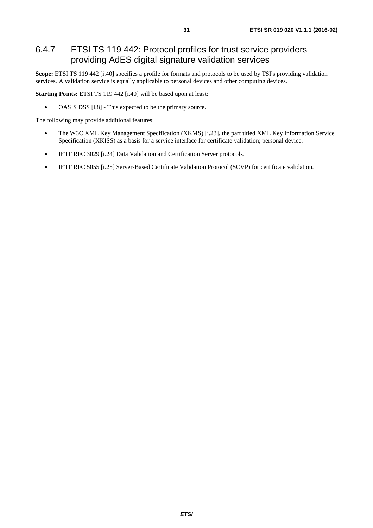### <span id="page-30-0"></span>6.4.7 ETSI TS 119 442: Protocol profiles for trust service providers providing AdES digital signature validation services

**Scope:** ETSI TS 119 442 [[i.40\]](#page-9-0) specifies a profile for formats and protocols to be used by TSPs providing validation services. A validation service is equally applicable to personal devices and other computing devices.

**Starting Points: ETSI TS 119 442 [\[i.40\]](#page-9-0) will be based upon at least:** 

• OASIS DSS [i.8] - This expected to be the primary source.

The following may provide additional features:

- The W3C XML Key Management Specification (XKMS) [\[i.23\]](#page-8-0), the part titled XML Key Information Service Specification (XKISS) as a basis for a service interface for certificate validation; personal device.
- IETF RFC 3029 [\[i.24](#page-8-0)] Data Validation and Certification Server protocols.
- IETF RFC 5055 [\[i.25](#page-8-0)] Server-Based Certificate Validation Protocol (SCVP) for certificate validation.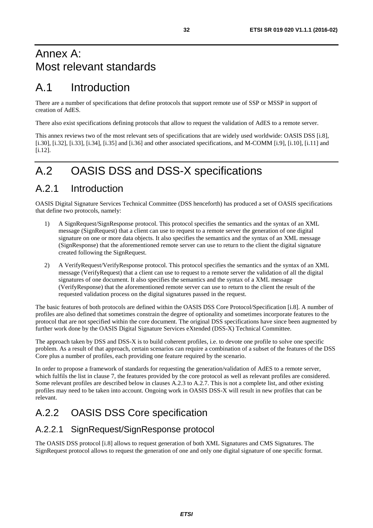# <span id="page-31-0"></span>Annex A: Most relevant standards

# A.1 Introduction

There are a number of specifications that define protocols that support remote use of SSP or MSSP in support of creation of AdES.

There also exist specifications defining protocols that allow to request the validation of AdES to a remote server.

This annex reviews two of the most relevant sets of specifications that are widely used worldwide: OASIS DSS [i.8], [[i.30](#page-8-0)], [i.32], [\[i.33](#page-8-0)], [\[i.34](#page-9-0)], [\[i.35\]](#page-9-0) and  $[i.36]$  $[i.36]$  and other associated specifications, and M-COMM [\[i.9](#page-8-0)], [\[i.10](#page-8-0)], [\[i.11](#page-8-0)] and [[i.12](#page-8-0)].

# A.2 OASIS DSS and DSS-X specifications

# A.2.1 Introduction

OASIS Digital Signature Services Technical Committee (DSS henceforth) has produced a set of OASIS specifications that define two protocols, namely:

- 1) A SignRequest/SignResponse protocol. This protocol specifies the semantics and the syntax of an XML message (SignRequest) that a client can use to request to a remote server the generation of one digital signature on one or more data objects. It also specifies the semantics and the syntax of an XML message (SignResponse) that the aforementioned remote server can use to return to the client the digital signature created following the SignRequest.
- 2) A VerifyRequest/VerifyResponse protocol. This protocol specifies the semantics and the syntax of an XML message (VerifyRequest) that a client can use to request to a remote server the validation of all the digital signatures of one document. It also specifies the semantics and the syntax of a XML message (VerifyResponse) that the aforementioned remote server can use to return to the client the result of the requested validation process on the digital signatures passed in the request.

The basic features of both protocols are defined within the OASIS DSS Core Protocol/Specification [i.8]. A number of profiles are also defined that sometimes constrain the degree of optionality and sometimes incorporate features to the protocol that are not specified within the core document. The original DSS specifications have since been augmented by further work done by the OASIS Digital Signature Services eXtended (DSS-X) Technical Committee.

The approach taken by DSS and DSS-X is to build coherent profiles, i.e. to devote one profile to solve one specific problem. As a result of that approach, certain scenarios can require a combination of a subset of the features of the DSS Core plus a number of profiles, each providing one feature required by the scenario.

In order to propose a framework of standards for requesting the generation/validation of AdES to a remote server, which fulfils the list in clause 7, the features provided by the core protocol as well as relevant profiles are considered. Some relevant profiles are described below in clauses A.2.3 to A.2.7. This is not a complete list, and other existing profiles may need to be taken into account. Ongoing work in OASIS DSS-X will result in new profiles that can be relevant.

# A.2.2 OASIS DSS Core specification

### A.2.2.1 SignRequest/SignResponse protocol

The OASIS DSS protocol [i.8] allows to request generation of both XML Signatures and CMS Signatures. The SignRequest protocol allows to request the generation of one and only one digital signature of one specific format.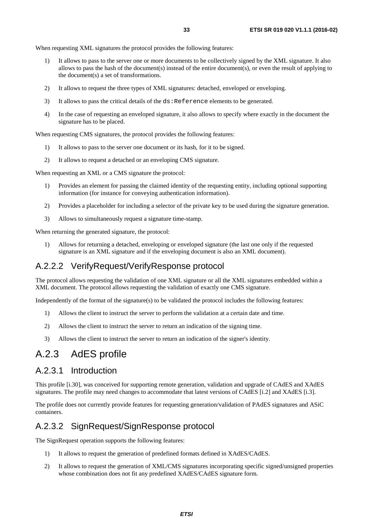<span id="page-32-0"></span>When requesting XML signatures the protocol provides the following features:

- 1) It allows to pass to the server one or more documents to be collectively signed by the XML signature. It also allows to pass the hash of the document(s) instead of the entire document(s), or even the result of applying to the document(s) a set of transformations.
- 2) It allows to request the three types of XML signatures: detached, enveloped or enveloping.
- 3) It allows to pass the critical details of the ds: Reference elements to be generated.
- 4) In the case of requesting an enveloped signature, it also allows to specify where exactly in the document the signature has to be placed.

When requesting CMS signatures, the protocol provides the following features:

- 1) It allows to pass to the server one document or its hash, for it to be signed.
- 2) It allows to request a detached or an enveloping CMS signature.

When requesting an XML or a CMS signature the protocol:

- 1) Provides an element for passing the claimed identity of the requesting entity, including optional supporting information (for instance for conveying authentication information).
- 2) Provides a placeholder for including a selector of the private key to be used during the signature generation.
- 3) Allows to simultaneously request a signature time-stamp.

When returning the generated signature, the protocol:

1) Allows for returning a detached, enveloping or enveloped signature (the last one only if the requested signature is an XML signature and if the enveloping document is also an XML document).

### A.2.2.2 VerifyRequest/VerifyResponse protocol

The protocol allows requesting the validation of one XML signature or all the XML signatures embedded within a XML document. The protocol allows requesting the validation of exactly one CMS signature.

Independently of the format of the signature(s) to be validated the protocol includes the following features:

- 1) Allows the client to instruct the server to perform the validation at a certain date and time.
- 2) Allows the client to instruct the server to return an indication of the signing time.
- 3) Allows the client to instruct the server to return an indication of the signer's identity.

# A.2.3 AdES profile

### A.2.3.1 Introduction

This profile [\[i.30\]](#page-8-0), was conceived for supporting remote generation, validation and upgrade of CAdES and XAdES signatures. The profile may need changes to accommodate that latest versions of CAdES [[i.2](#page-7-0)] and XAdES [\[i.3\]](#page-7-0).

The profile does not currently provide features for requesting generation/validation of PAdES signatures and ASiC containers.

### A.2.3.2 SignRequest/SignResponse protocol

The SignRequest operation supports the following features:

- 1) It allows to request the generation of predefined formats defined in XAdES/CAdES.
- 2) It allows to request the generation of XML/CMS signatures incorporating specific signed/unsigned properties whose combination does not fit any predefined XAdES/CAdES signature form.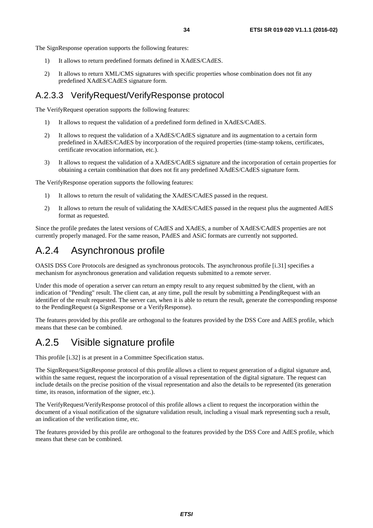<span id="page-33-0"></span>The SignResponse operation supports the following features:

- 1) It allows to return predefined formats defined in XAdES/CAdES.
- 2) It allows to return XML/CMS signatures with specific properties whose combination does not fit any predefined XAdES/CAdES signature form.

### A.2.3.3 VerifyRequest/VerifyResponse protocol

The VerifyRequest operation supports the following features:

- 1) It allows to request the validation of a predefined form defined in XAdES/CAdES.
- 2) It allows to request the validation of a XAdES/CAdES signature and its augmentation to a certain form predefined in XAdES/CAdES by incorporation of the required properties (time-stamp tokens, certificates, certificate revocation information, etc.).
- 3) It allows to request the validation of a XAdES/CAdES signature and the incorporation of certain properties for obtaining a certain combination that does not fit any predefined XAdES/CAdES signature form.

The VerifyResponse operation supports the following features:

- 1) It allows to return the result of validating the XAdES/CAdES passed in the request.
- 2) It allows to return the result of validating the XAdES/CAdES passed in the request plus the augmented AdES format as requested.

Since the profile predates the latest versions of CAdES and XAdES, a number of XAdES/CAdES properties are not currently properly managed. For the same reason, PAdES and ASiC formats are currently not supported.

# A.2.4 Asynchronous profile

OASIS DSS Core Protocols are designed as synchronous protocols. The asynchronous profile [[i.31](#page-8-0)] specifies a mechanism for asynchronous generation and validation requests submitted to a remote server.

Under this mode of operation a server can return an empty result to any request submitted by the client, with an indication of "Pending" result. The client can, at any time, pull the result by submitting a PendingRequest with an identifier of the result requested. The server can, when it is able to return the result, generate the corresponding response to the PendingRequest (a SignResponse or a VerifyResponse).

The features provided by this profile are orthogonal to the features provided by the DSS Core and AdES profile, which means that these can be combined.

# A.2.5 Visible signature profile

This profile [i.32] is at present in a Committee Specification status.

The SignRequest/SignResponse protocol of this profile allows a client to request generation of a digital signature and, within the same request, request the incorporation of a visual representation of the digital signature. The request can include details on the precise position of the visual representation and also the details to be represented (its generation time, its reason, information of the signer, etc.).

The VerifyRequest/VerifyResponse protocol of this profile allows a client to request the incorporation within the document of a visual notification of the signature validation result, including a visual mark representing such a result, an indication of the verification time, etc.

The features provided by this profile are orthogonal to the features provided by the DSS Core and AdES profile, which means that these can be combined.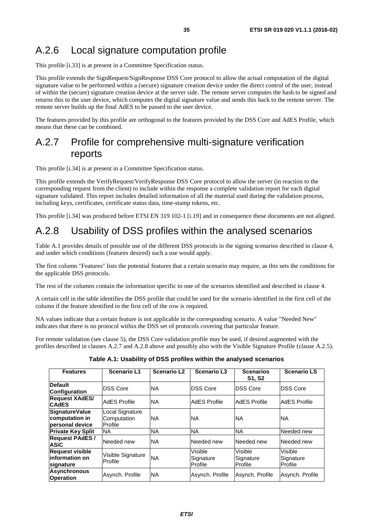# <span id="page-34-0"></span>A.2.6 Local signature computation profile

This profile [\[i.33\]](#page-8-0) is at present in a Committee Specification status.

This profile extends the SignRequest/SignResponse DSS Core protocol to allow the actual computation of the digital signature value to be performed within a (secure) signature creation device under the direct control of the user, instead of within the (secure) signature creation device at the server side. The remote server computes the hash to be signed and returns this to the user device, which computes the digital signature value and sends this back to the remote server. The remote server builds up the final AdES to be passed to the user device.

The features provided by this profile are orthogonal to the features provided by the DSS Core and AdES Profile, which means that these can be combined.

# A.2.7 Profile for comprehensive multi-signature verification reports

This profile [\[i.34\]](#page-9-0) is at present in a Committee Specification status.

This profile extends the VerifyRequest/VerifyResponse DSS Core protocol to allow the server (in reaction to the corresponding request from the client) to include within the response a complete validation report for each digital signature validated. This report includes detailed information of all the material used during the validation process, including keys, certificates, certificate status data, time-stamp tokens, etc.

This profile [\[i.34\]](#page-9-0) was produced before ETSI EN 319 102-1 [[i.19\]](#page-8-0) and in consequence these documents are not aligned.

# A.2.8 Usability of DSS profiles within the analysed scenarios

Table A.1 provides details of possible use of the different DSS protocols in the signing scenarios described in clause 4, and under which conditions (features desired) such a use would apply.

The first column "Features" lists the potential features that a certain scenario may require, as this sets the conditions for the applicable DSS protocols.

The rest of the columns contain the information specific to one of the scenarios identified and described in clause 4.

A certain cell in the table identifies the DSS profile that could be used for the scenario identified in the first cell of the column if the feature identified in the first cell of the row is required.

NA values indicate that a certain feature is not applicable in the corresponding scenario. A value "Needed New" indicates that there is no protocol within the DSS set of protocols covering that particular feature.

For remote validation (see clause 5), the DSS Core validation profile may be used, if desired augmented with the profiles described in clauses A.2.7 and A.2.8 above and possibly also with the Visible Signature Profile (clause A.2.5).

**Table A.1: Usability of DSS profiles within the analysed scenarios** 

| <b>Features</b>                                            | <b>Scenario L1</b>                        | <b>Scenario L2</b> | <b>Scenario L3</b>              | <b>Scenarios</b><br><b>S1, S2</b>      | <b>Scenario LS</b>              |
|------------------------------------------------------------|-------------------------------------------|--------------------|---------------------------------|----------------------------------------|---------------------------------|
| <b>Default</b><br><b>Configuration</b>                     | <b>DSS Core</b>                           | <b>NA</b>          | <b>DSS Core</b>                 | <b>DSS Core</b>                        | <b>IDSS Core</b>                |
| <b>Request XAdES/</b><br><b>CAdES</b>                      | <b>AdES</b> Profile                       | <b>NA</b>          | <b>AdES</b> Profile             | AdES Profile                           | AdES Profile                    |
| <b>SignatureValue</b><br>computation in<br>personal device | Local Signature<br>Computation<br>Profile | ΝA                 | <b>NA</b>                       | <b>NA</b>                              | INA.                            |
| <b>Private Key Split</b>                                   | INA.                                      | <b>NA</b>          | <b>NA</b>                       | <b>NA</b>                              | Needed new                      |
| <b>Request PAdES /</b><br><b>ASiC</b>                      | Needed new                                | <b>NA</b>          | Needed new                      | Needed new                             | Needed new                      |
| <b>Request visible</b><br>linformation on<br>signature     | Visible Signature<br>Profile              | <b>NA</b>          | Visible<br>Signature<br>Profile | <b>Visible</b><br>Signature<br>Profile | Visible<br>Signature<br>Profile |
| Asynchronous<br><b>Operation</b>                           | Asynch. Profile                           | <b>NA</b>          | Asynch. Profile                 | Asynch. Profile                        | Asynch. Profile                 |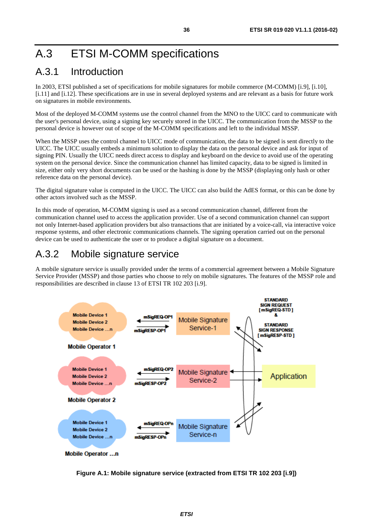# <span id="page-35-0"></span>A.3 ETSI M-COMM specifications

# A.3.1 Introduction

In 2003, ETSI published a set of specifications for mobile signatures for mobile commerce (M-COMM) [\[i.9](#page-8-0)], [\[i.10](#page-8-0)], [[i.11](#page-8-0)] and [\[i.12\]](#page-8-0). These specifications are in use in several deployed systems and are relevant as a basis for future work on signatures in mobile environments.

Most of the deployed M-COMM systems use the control channel from the MNO to the UICC card to communicate with the user's personal device, using a signing key securely stored in the UICC. The communication from the MSSP to the personal device is however out of scope of the M-COMM specifications and left to the individual MSSP.

When the MSSP uses the control channel to UICC mode of communication, the data to be signed is sent directly to the UICC. The UICC usually embeds a minimum solution to display the data on the personal device and ask for input of signing PIN. Usually the UICC needs direct access to display and keyboard on the device to avoid use of the operating system on the personal device. Since the communication channel has limited capacity, data to be signed is limited in size, either only very short documents can be used or the hashing is done by the MSSP (displaying only hash or other reference data on the personal device).

The digital signature value is computed in the UICC. The UICC can also build the AdES format, or this can be done by other actors involved such as the MSSP.

In this mode of operation, M-COMM signing is used as a second communication channel, different from the communication channel used to access the application provider. Use of a second communication channel can support not only Internet-based application providers but also transactions that are initiated by a voice-call, via interactive voice response systems, and other electronic communications channels. The signing operation carried out on the personal device can be used to authenticate the user or to produce a digital signature on a document.

# A.3.2 Mobile signature service

A mobile signature service is usually provided under the terms of a commercial agreement between a Mobile Signature Service Provider (MSSP) and those parties who choose to rely on mobile signatures. The features of the MSSP role and responsibilities are described in clause 13 of ETSI TR 102 203 [\[i.9](#page-8-0)].



**Mobile Operator ...n** 

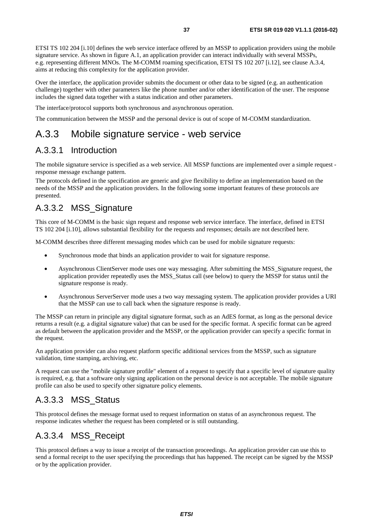<span id="page-36-0"></span>ETSI TS 102 204 [[i.10\]](#page-8-0) defines the web service interface offered by an MSSP to application providers using the mobile signature service. As shown in figure A.1, an application provider can interact individually with several MSSPs, e.g. representing different MNOs. The M-COMM roaming specification, ETSI TS 102 207 [\[i.12](#page-8-0)], see clause A.3.4, aims at reducing this complexity for the application provider.

Over the interface, the application provider submits the document or other data to be signed (e.g. an authentication challenge) together with other parameters like the phone number and/or other identification of the user. The response includes the signed data together with a status indication and other parameters.

The interface/protocol supports both synchronous and asynchronous operation.

The communication between the MSSP and the personal device is out of scope of M-COMM standardization.

# A.3.3 Mobile signature service - web service

### A.3.3.1 Introduction

The mobile signature service is specified as a web service. All MSSP functions are implemented over a simple request response message exchange pattern.

The protocols defined in the specification are generic and give flexibility to define an implementation based on the needs of the MSSP and the application providers. In the following some important features of these protocols are presented.

# A.3.3.2 MSS\_Signature

This core of M-COMM is the basic sign request and response web service interface. The interface, defined in ETSI TS 102 204 [\[i.10](#page-8-0)], allows substantial flexibility for the requests and responses; details are not described here.

M-COMM describes three different messaging modes which can be used for mobile signature requests:

- Synchronous mode that binds an application provider to wait for signature response.
- Asynchronous ClientServer mode uses one way messaging. After submitting the MSS\_Signature request, the application provider repeatedly uses the MSS\_Status call (see below) to query the MSSP for status until the signature response is ready.
- Asynchronous ServerServer mode uses a two way messaging system. The application provider provides a URI that the MSSP can use to call back when the signature response is ready.

The MSSP can return in principle any digital signature format, such as an AdES format, as long as the personal device returns a result (e.g. a digital signature value) that can be used for the specific format. A specific format can be agreed as default between the application provider and the MSSP, or the application provider can specify a specific format in the request.

An application provider can also request platform specific additional services from the MSSP, such as signature validation, time stamping, archiving, etc.

A request can use the "mobile signature profile" element of a request to specify that a specific level of signature quality is required, e.g. that a software only signing application on the personal device is not acceptable. The mobile signature profile can also be used to specify other signature policy elements.

### A.3.3.3 MSS\_Status

This protocol defines the message format used to request information on status of an asynchronous request. The response indicates whether the request has been completed or is still outstanding.

### A.3.3.4 MSS\_Receipt

This protocol defines a way to issue a receipt of the transaction proceedings. An application provider can use this to send a formal receipt to the user specifying the proceedings that has happened. The receipt can be signed by the MSSP or by the application provider.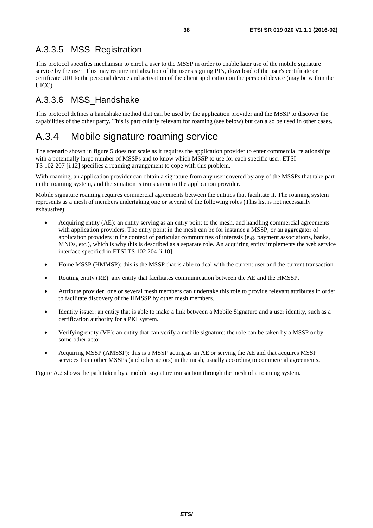# <span id="page-37-0"></span>A.3.3.5 MSS\_Registration

This protocol specifies mechanism to enrol a user to the MSSP in order to enable later use of the mobile signature service by the user. This may require initialization of the user's signing PIN, download of the user's certificate or certificate URI to the personal device and activation of the client application on the personal device (may be within the UICC).

### A.3.3.6 MSS\_Handshake

This protocol defines a handshake method that can be used by the application provider and the MSSP to discover the capabilities of the other party. This is particularly relevant for roaming (see below) but can also be used in other cases.

# A.3.4 Mobile signature roaming service

The scenario shown in figure 5 does not scale as it requires the application provider to enter commercial relationships with a potentially large number of MSSPs and to know which MSSP to use for each specific user. ETSI TS 102 207 [\[i.12](#page-8-0)] specifies a roaming arrangement to cope with this problem.

With roaming, an application provider can obtain a signature from any user covered by any of the MSSPs that take part in the roaming system, and the situation is transparent to the application provider.

Mobile signature roaming requires commercial agreements between the entities that facilitate it. The roaming system represents as a mesh of members undertaking one or several of the following roles (This list is not necessarily exhaustive):

- Acquiring entity (AE): an entity serving as an entry point to the mesh, and handling commercial agreements with application providers. The entry point in the mesh can be for instance a MSSP, or an aggregator of application providers in the context of particular communities of interests (e.g. payment associations, banks, MNOs, etc.), which is why this is described as a separate role. An acquiring entity implements the web service interface specified in ETSI TS 102 204 [\[i.10](#page-8-0)].
- Home MSSP (HMMSP): this is the MSSP that is able to deal with the current user and the current transaction.
- Routing entity (RE): any entity that facilitates communication between the AE and the HMSSP.
- Attribute provider: one or several mesh members can undertake this role to provide relevant attributes in order to facilitate discovery of the HMSSP by other mesh members.
- Identity issuer: an entity that is able to make a link between a Mobile Signature and a user identity, such as a certification authority for a PKI system.
- Verifying entity (VE): an entity that can verify a mobile signature; the role can be taken by a MSSP or by some other actor.
- Acquiring MSSP (AMSSP): this is a MSSP acting as an AE or serving the AE and that acquires MSSP services from other MSSPs (and other actors) in the mesh, usually according to commercial agreements.

Figure A.2 shows the path taken by a mobile signature transaction through the mesh of a roaming system.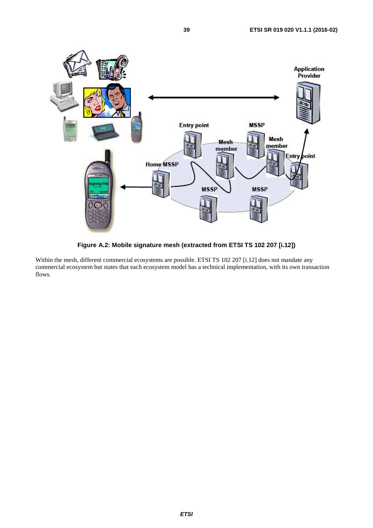

**Figure A.2: Mobile signature mesh (extracted from ETSI TS 102 207 [\[i.12\]](#page-8-0))** 

Within the mesh, different commercial ecosystems are possible. ETSI TS 102 207 [\[i.12](#page-8-0)] does not mandate any commercial ecosystem but states that each ecosystem model has a technical implementation, with its own transaction flows.